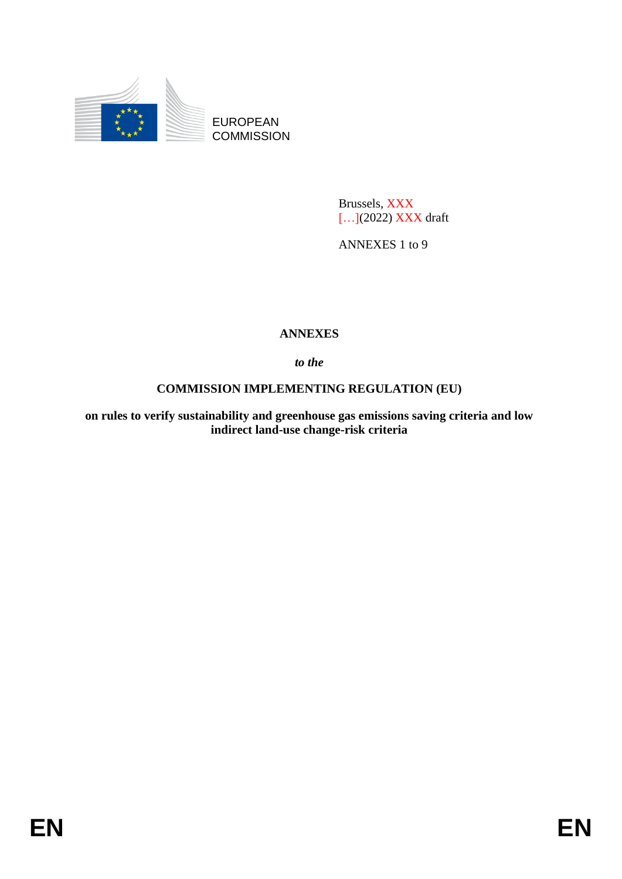

EUROPEAN **COMMISSION** 

> Brussels, XXX […](2022) XXX draft

ANNEXES 1 to 9

## **ANNEXES**

*to the*

# **COMMISSION IMPLEMENTING REGULATION (EU)**

**on rules to verify sustainability and greenhouse gas emissions saving criteria and low indirect land-use change-risk criteria**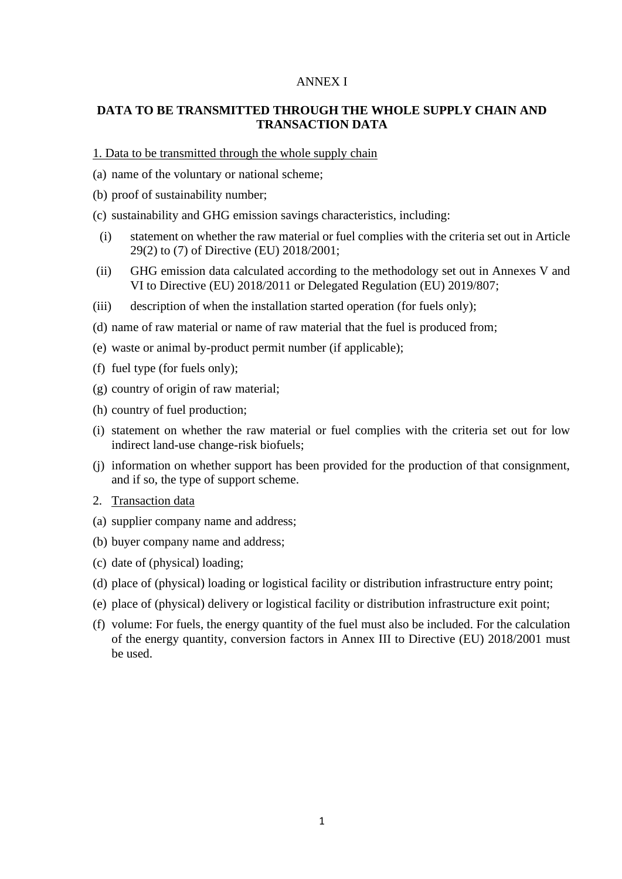#### ANNEX I

### **DATA TO BE TRANSMITTED THROUGH THE WHOLE SUPPLY CHAIN AND TRANSACTION DATA**

1. Data to be transmitted through the whole supply chain

- (a) name of the voluntary or national scheme;
- (b) proof of sustainability number;
- (c) sustainability and GHG emission savings characteristics, including:
- (i) statement on whether the raw material or fuel complies with the criteria set out in Article 29(2) to (7) of Directive (EU) 2018/2001;
- (ii) GHG emission data calculated according to the methodology set out in Annexes V and VI to Directive (EU) 2018/2011 or Delegated Regulation (EU) 2019/807;
- (iii) description of when the installation started operation (for fuels only);
- (d) name of raw material or name of raw material that the fuel is produced from;
- (e) waste or animal by-product permit number (if applicable);
- (f) fuel type (for fuels only);
- (g) country of origin of raw material;
- (h) country of fuel production;
- (i) statement on whether the raw material or fuel complies with the criteria set out for low indirect land-use change-risk biofuels;
- (j) information on whether support has been provided for the production of that consignment, and if so, the type of support scheme.
- 2. Transaction data
- (a) supplier company name and address;
- (b) buyer company name and address;
- (c) date of (physical) loading;
- (d) place of (physical) loading or logistical facility or distribution infrastructure entry point;
- (e) place of (physical) delivery or logistical facility or distribution infrastructure exit point;
- (f) volume: For fuels, the energy quantity of the fuel must also be included. For the calculation of the energy quantity, conversion factors in Annex III to Directive (EU) 2018/2001 must be used.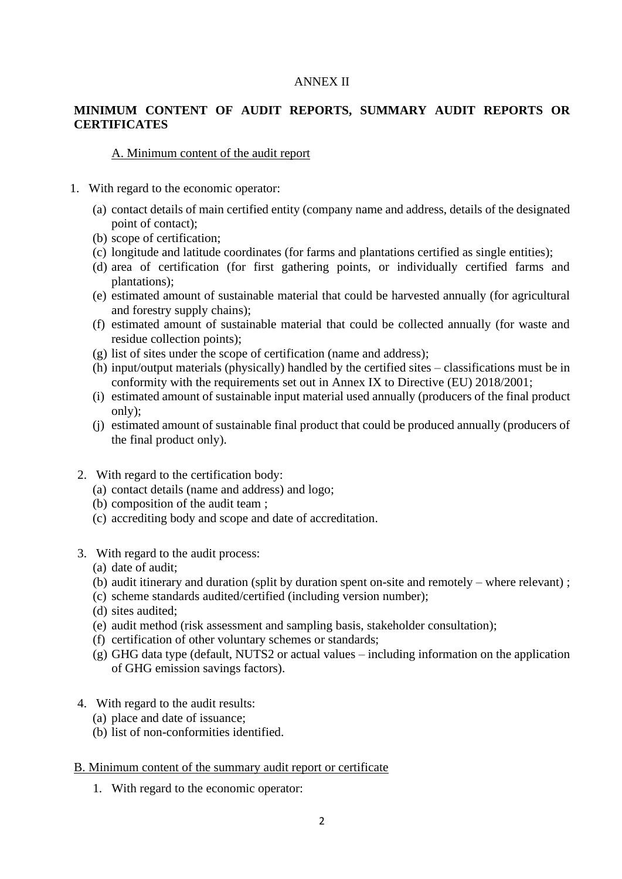### ANNEX II

## **MINIMUM CONTENT OF AUDIT REPORTS, SUMMARY AUDIT REPORTS OR CERTIFICATES**

### A. Minimum content of the audit report

- 1. With regard to the economic operator:
	- (a) contact details of main certified entity (company name and address, details of the designated point of contact);
	- (b) scope of certification;
	- (c) longitude and latitude coordinates (for farms and plantations certified as single entities);
	- (d) area of certification (for first gathering points, or individually certified farms and plantations);
	- (e) estimated amount of sustainable material that could be harvested annually (for agricultural and forestry supply chains);
	- (f) estimated amount of sustainable material that could be collected annually (for waste and residue collection points);
	- (g) list of sites under the scope of certification (name and address);
	- (h) input/output materials (physically) handled by the certified sites classifications must be in conformity with the requirements set out in Annex IX to Directive (EU) 2018/2001;
	- (i) estimated amount of sustainable input material used annually (producers of the final product only);
	- (j) estimated amount of sustainable final product that could be produced annually (producers of the final product only).
- 2. With regard to the certification body:
	- (a) contact details (name and address) and logo;
	- (b) composition of the audit team ;
	- (c) accrediting body and scope and date of accreditation.
- 3. With regard to the audit process:
	- (a) date of audit;
	- (b) audit itinerary and duration (split by duration spent on-site and remotely where relevant) ;
	- (c) scheme standards audited/certified (including version number);
	- (d) sites audited;
	- (e) audit method (risk assessment and sampling basis, stakeholder consultation);
	- (f) certification of other voluntary schemes or standards;
	- (g) GHG data type (default, NUTS2 or actual values including information on the application of GHG emission savings factors).
- 4. With regard to the audit results:
	- (a) place and date of issuance;
	- (b) list of non-conformities identified.

### B. Minimum content of the summary audit report or certificate

1. With regard to the economic operator: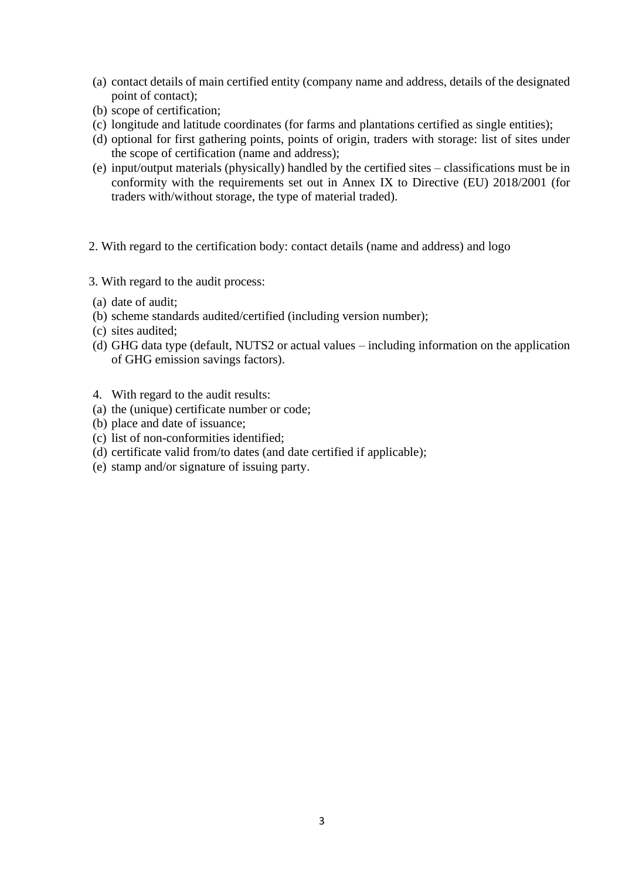- (a) contact details of main certified entity (company name and address, details of the designated point of contact);
- (b) scope of certification;
- (c) longitude and latitude coordinates (for farms and plantations certified as single entities);
- (d) optional for first gathering points, points of origin, traders with storage: list of sites under the scope of certification (name and address);
- (e) input/output materials (physically) handled by the certified sites classifications must be in conformity with the requirements set out in Annex IX to Directive (EU) 2018/2001 (for traders with/without storage, the type of material traded).
- 2. With regard to the certification body: contact details (name and address) and logo
- 3. With regard to the audit process:
- (a) date of audit;
- (b) scheme standards audited/certified (including version number);
- (c) sites audited;
- (d) GHG data type (default, NUTS2 or actual values including information on the application of GHG emission savings factors).
- 4. With regard to the audit results:
- (a) the (unique) certificate number or code;
- (b) place and date of issuance;
- (c) list of non-conformities identified;
- (d) certificate valid from/to dates (and date certified if applicable);
- (e) stamp and/or signature of issuing party.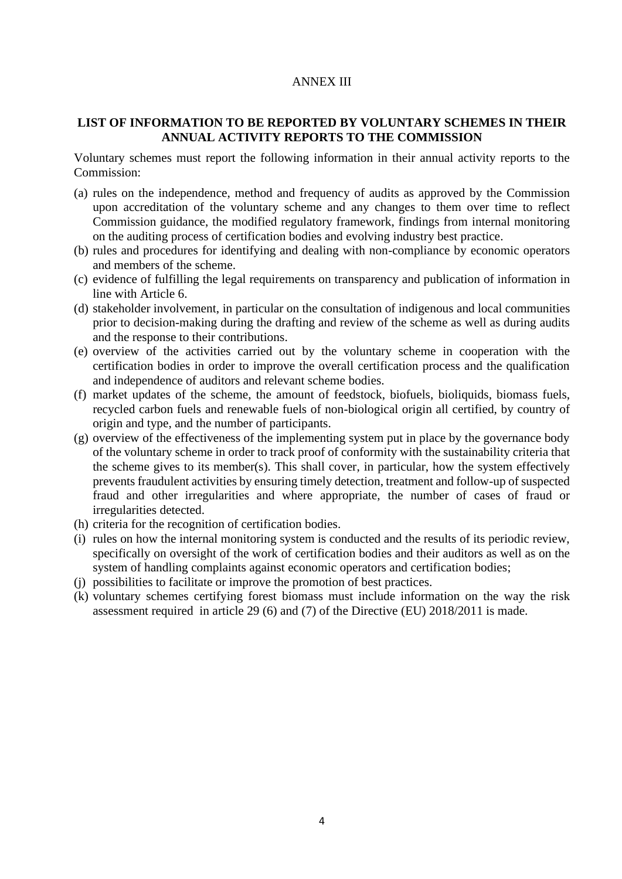### ANNEX III

### **LIST OF INFORMATION TO BE REPORTED BY VOLUNTARY SCHEMES IN THEIR ANNUAL ACTIVITY REPORTS TO THE COMMISSION**

Voluntary schemes must report the following information in their annual activity reports to the Commission:

- (a) rules on the independence, method and frequency of audits as approved by the Commission upon accreditation of the voluntary scheme and any changes to them over time to reflect Commission guidance, the modified regulatory framework, findings from internal monitoring on the auditing process of certification bodies and evolving industry best practice.
- (b) rules and procedures for identifying and dealing with non-compliance by economic operators and members of the scheme.
- (c) evidence of fulfilling the legal requirements on transparency and publication of information in line with Article 6.
- (d) stakeholder involvement, in particular on the consultation of indigenous and local communities prior to decision-making during the drafting and review of the scheme as well as during audits and the response to their contributions.
- (e) overview of the activities carried out by the voluntary scheme in cooperation with the certification bodies in order to improve the overall certification process and the qualification and independence of auditors and relevant scheme bodies.
- (f) market updates of the scheme, the amount of feedstock, biofuels, bioliquids, biomass fuels, recycled carbon fuels and renewable fuels of non-biological origin all certified, by country of origin and type, and the number of participants.
- (g) overview of the effectiveness of the implementing system put in place by the governance body of the voluntary scheme in order to track proof of conformity with the sustainability criteria that the scheme gives to its member(s). This shall cover, in particular, how the system effectively prevents fraudulent activities by ensuring timely detection, treatment and follow-up of suspected fraud and other irregularities and where appropriate, the number of cases of fraud or irregularities detected.
- (h) criteria for the recognition of certification bodies.
- (i) rules on how the internal monitoring system is conducted and the results of its periodic review, specifically on oversight of the work of certification bodies and their auditors as well as on the system of handling complaints against economic operators and certification bodies;
- (j) possibilities to facilitate or improve the promotion of best practices.
- (k) voluntary schemes certifying forest biomass must include information on the way the risk assessment required in article 29 (6) and (7) of the Directive (EU) 2018/2011 is made.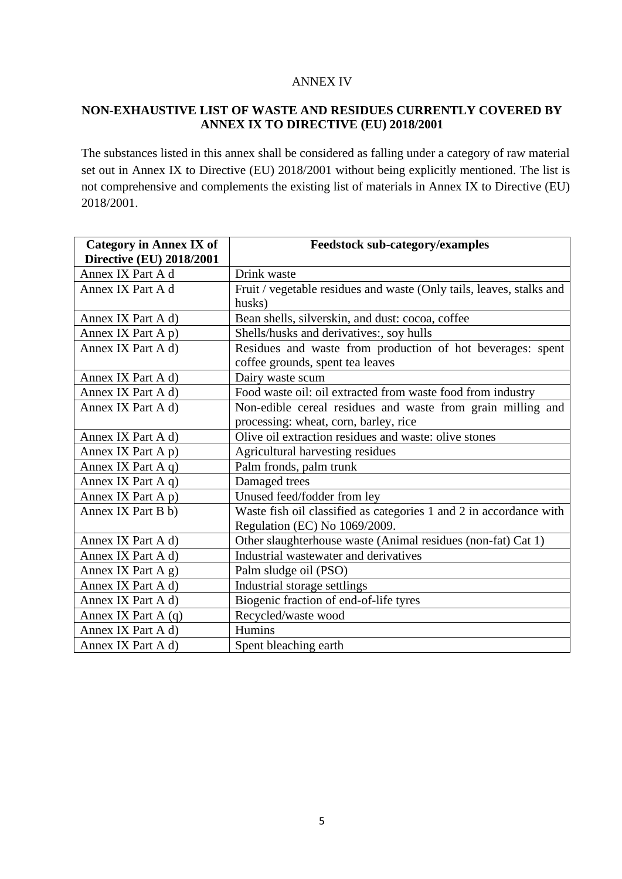### ANNEX IV

### **NON-EXHAUSTIVE LIST OF WASTE AND RESIDUES CURRENTLY COVERED BY ANNEX IX TO DIRECTIVE (EU) 2018/2001**

The substances listed in this annex shall be considered as falling under a category of raw material set out in Annex IX to Directive (EU) 2018/2001 without being explicitly mentioned. The list is not comprehensive and complements the existing list of materials in Annex IX to Directive (EU) 2018/2001.

| <b>Category in Annex IX of</b>  | <b>Feedstock sub-category/examples</b>                               |
|---------------------------------|----------------------------------------------------------------------|
| <b>Directive (EU) 2018/2001</b> |                                                                      |
| Annex IX Part A d               | Drink waste                                                          |
| Annex IX Part A d               | Fruit / vegetable residues and waste (Only tails, leaves, stalks and |
|                                 | husks)                                                               |
| Annex IX Part A d)              | Bean shells, silverskin, and dust: cocoa, coffee                     |
| Annex IX Part A p)              | Shells/husks and derivatives:, soy hulls                             |
| Annex IX Part A d)              | Residues and waste from production of hot beverages: spent           |
|                                 | coffee grounds, spent tea leaves                                     |
| Annex IX Part A d)              | Dairy waste scum                                                     |
| Annex IX Part A d)              | Food waste oil: oil extracted from waste food from industry          |
| Annex IX Part A d)              | Non-edible cereal residues and waste from grain milling and          |
|                                 | processing: wheat, corn, barley, rice                                |
| Annex IX Part A d)              | Olive oil extraction residues and waste: olive stones                |
| Annex IX Part $A$ $p$ )         | Agricultural harvesting residues                                     |
| Annex IX Part $A$ q)            | Palm fronds, palm trunk                                              |
| Annex IX Part $A$ q)            | Damaged trees                                                        |
| Annex IX Part A p)              | Unused feed/fodder from ley                                          |
| Annex IX Part B b)              | Waste fish oil classified as categories 1 and 2 in accordance with   |
|                                 | Regulation (EC) No 1069/2009.                                        |
| Annex IX Part A d)              | Other slaughterhouse waste (Animal residues (non-fat) Cat 1)         |
| Annex IX Part A d)              | Industrial wastewater and derivatives                                |
| Annex IX Part $A$ g)            | Palm sludge oil (PSO)                                                |
| Annex IX Part A d)              | Industrial storage settlings                                         |
| Annex IX Part A d)              | Biogenic fraction of end-of-life tyres                               |
| Annex IX Part $A(q)$            | Recycled/waste wood                                                  |
| Annex IX Part A d)              | Humins                                                               |
| Annex IX Part A d)              | Spent bleaching earth                                                |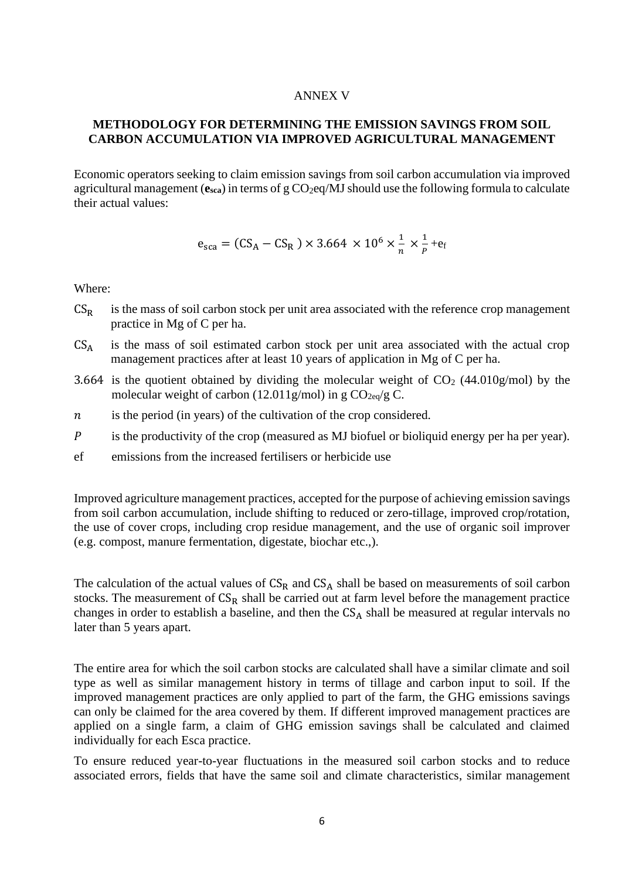#### ANNEX V

### **METHODOLOGY FOR DETERMINING THE EMISSION SAVINGS FROM SOIL CARBON ACCUMULATION VIA IMPROVED AGRICULTURAL MANAGEMENT**

Economic operators seeking to claim emission savings from soil carbon accumulation via improved agricultural management  $(e_{sca})$  in terms of g  $CO<sub>2</sub>$ eq/MJ should use the following formula to calculate their actual values:

$$
e_{\rm sca} = (CS_A - CS_R) \times 3.664 \times 10^6 \times \frac{1}{n} \times \frac{1}{p} + e_f
$$

Where:

- $CS_R$  is the mass of soil carbon stock per unit area associated with the reference crop management practice in Mg of C per ha.
- $CS_A$  is the mass of soil estimated carbon stock per unit area associated with the actual crop management practices after at least 10 years of application in Mg of C per ha.
- 3.664 is the quotient obtained by dividing the molecular weight of  $CO<sub>2</sub>$  (44.010g/mol) by the molecular weight of carbon (12.011g/mol) in g  $CO<sub>2eq</sub>/g C$ .
- $n$  is the period (in years) of the cultivation of the crop considered.
- is the productivity of the crop (measured as MJ biofuel or bioliquid energy per ha per year).
- ef emissions from the increased fertilisers or herbicide use

Improved agriculture management practices, accepted for the purpose of achieving emission savings from soil carbon accumulation, include shifting to reduced or zero-tillage, improved crop/rotation, the use of cover crops, including crop residue management, and the use of organic soil improver (e.g. compost, manure fermentation, digestate, biochar etc.,).

The calculation of the actual values of  $CS_R$  and  $CS_A$  shall be based on measurements of soil carbon stocks. The measurement of  $CS_R$  shall be carried out at farm level before the management practice changes in order to establish a baseline, and then the  $CS<sub>A</sub>$  shall be measured at regular intervals no later than 5 years apart.

The entire area for which the soil carbon stocks are calculated shall have a similar climate and soil type as well as similar management history in terms of tillage and carbon input to soil. If the improved management practices are only applied to part of the farm, the GHG emissions savings can only be claimed for the area covered by them. If different improved management practices are applied on a single farm, a claim of GHG emission savings shall be calculated and claimed individually for each Esca practice.

To ensure reduced year-to-year fluctuations in the measured soil carbon stocks and to reduce associated errors, fields that have the same soil and climate characteristics, similar management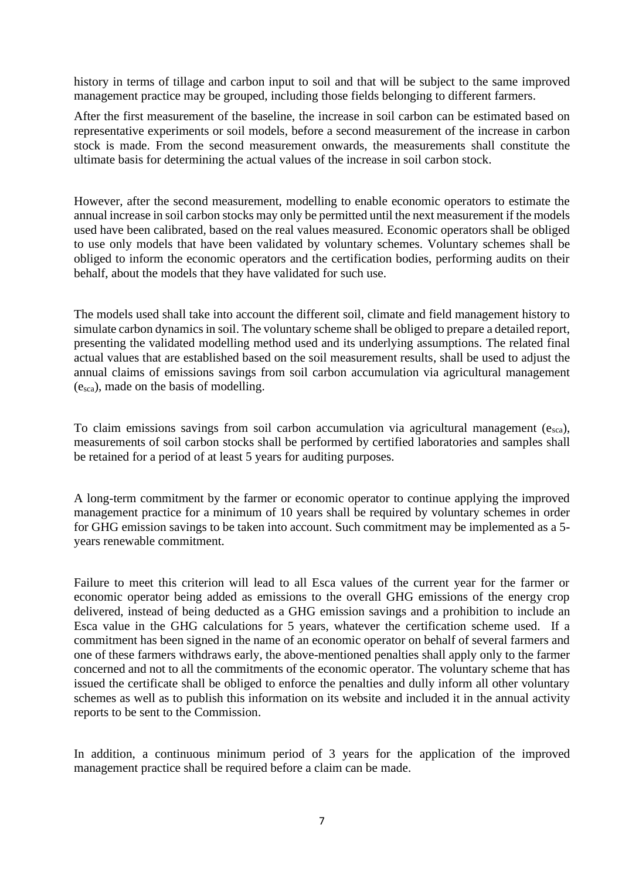history in terms of tillage and carbon input to soil and that will be subject to the same improved management practice may be grouped, including those fields belonging to different farmers.

After the first measurement of the baseline, the increase in soil carbon can be estimated based on representative experiments or soil models, before a second measurement of the increase in carbon stock is made. From the second measurement onwards, the measurements shall constitute the ultimate basis for determining the actual values of the increase in soil carbon stock.

However, after the second measurement, modelling to enable economic operators to estimate the annual increase in soil carbon stocks may only be permitted until the next measurement if the models used have been calibrated, based on the real values measured. Economic operators shall be obliged to use only models that have been validated by voluntary schemes. Voluntary schemes shall be obliged to inform the economic operators and the certification bodies, performing audits on their behalf, about the models that they have validated for such use.

The models used shall take into account the different soil, climate and field management history to simulate carbon dynamics in soil. The voluntary scheme shall be obliged to prepare a detailed report, presenting the validated modelling method used and its underlying assumptions. The related final actual values that are established based on the soil measurement results, shall be used to adjust the annual claims of emissions savings from soil carbon accumulation via agricultural management (esca), made on the basis of modelling.

To claim emissions savings from soil carbon accumulation via agricultural management (esca), measurements of soil carbon stocks shall be performed by certified laboratories and samples shall be retained for a period of at least 5 years for auditing purposes.

A long-term commitment by the farmer or economic operator to continue applying the improved management practice for a minimum of 10 years shall be required by voluntary schemes in order for GHG emission savings to be taken into account. Such commitment may be implemented as a 5 years renewable commitment.

Failure to meet this criterion will lead to all Esca values of the current year for the farmer or economic operator being added as emissions to the overall GHG emissions of the energy crop delivered, instead of being deducted as a GHG emission savings and a prohibition to include an Esca value in the GHG calculations for 5 years, whatever the certification scheme used. If a commitment has been signed in the name of an economic operator on behalf of several farmers and one of these farmers withdraws early, the above-mentioned penalties shall apply only to the farmer concerned and not to all the commitments of the economic operator. The voluntary scheme that has issued the certificate shall be obliged to enforce the penalties and dully inform all other voluntary schemes as well as to publish this information on its website and included it in the annual activity reports to be sent to the Commission.

In addition, a continuous minimum period of 3 years for the application of the improved management practice shall be required before a claim can be made.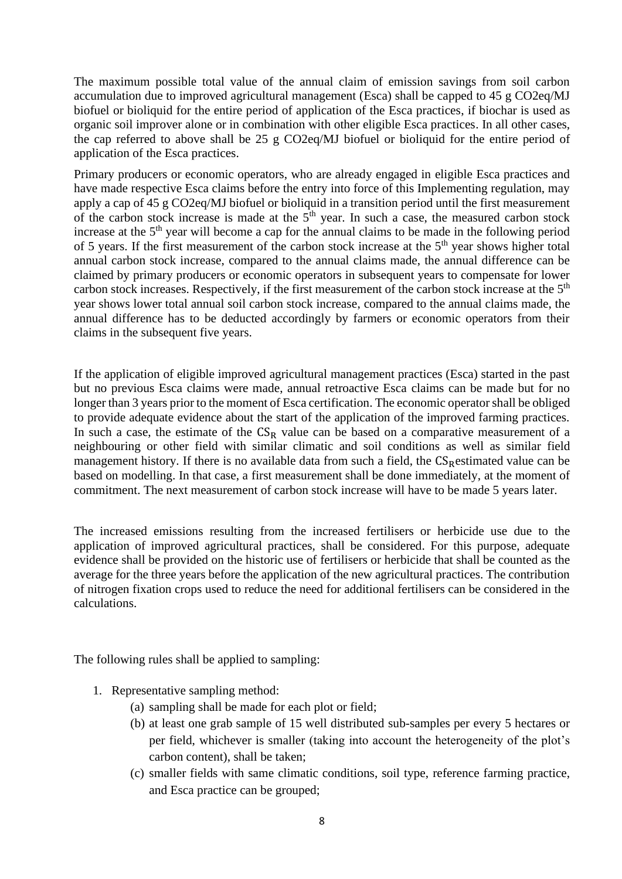The maximum possible total value of the annual claim of emission savings from soil carbon accumulation due to improved agricultural management (Esca) shall be capped to 45 g CO2eq/MJ biofuel or bioliquid for the entire period of application of the Esca practices, if biochar is used as organic soil improver alone or in combination with other eligible Esca practices. In all other cases, the cap referred to above shall be 25 g CO2eq/MJ biofuel or bioliquid for the entire period of application of the Esca practices.

Primary producers or economic operators, who are already engaged in eligible Esca practices and have made respective Esca claims before the entry into force of this Implementing regulation, may apply a cap of 45 g CO2eq/MJ biofuel or bioliquid in a transition period until the first measurement of the carbon stock increase is made at the  $5<sup>th</sup>$  year. In such a case, the measured carbon stock increase at the 5<sup>th</sup> year will become a cap for the annual claims to be made in the following period of 5 years. If the first measurement of the carbon stock increase at the 5<sup>th</sup> year shows higher total annual carbon stock increase, compared to the annual claims made, the annual difference can be claimed by primary producers or economic operators in subsequent years to compensate for lower carbon stock increases. Respectively, if the first measurement of the carbon stock increase at the 5<sup>th</sup> year shows lower total annual soil carbon stock increase, compared to the annual claims made, the annual difference has to be deducted accordingly by farmers or economic operators from their claims in the subsequent five years.

If the application of eligible improved agricultural management practices (Esca) started in the past but no previous Esca claims were made, annual retroactive Esca claims can be made but for no longer than 3 years prior to the moment of Esca certification. The economic operator shall be obliged to provide adequate evidence about the start of the application of the improved farming practices. In such a case, the estimate of the  $CS_R$  value can be based on a comparative measurement of a neighbouring or other field with similar climatic and soil conditions as well as similar field management history. If there is no available data from such a field, the  $CS_R$ estimated value can be based on modelling. In that case, a first measurement shall be done immediately, at the moment of commitment. The next measurement of carbon stock increase will have to be made 5 years later.

The increased emissions resulting from the increased fertilisers or herbicide use due to the application of improved agricultural practices, shall be considered. For this purpose, adequate evidence shall be provided on the historic use of fertilisers or herbicide that shall be counted as the average for the three years before the application of the new agricultural practices. The contribution of nitrogen fixation crops used to reduce the need for additional fertilisers can be considered in the calculations.

The following rules shall be applied to sampling:

- 1. Representative sampling method:
	- (a) sampling shall be made for each plot or field;
	- (b) at least one grab sample of 15 well distributed sub-samples per every 5 hectares or per field, whichever is smaller (taking into account the heterogeneity of the plot's carbon content), shall be taken;
	- (c) smaller fields with same climatic conditions, soil type, reference farming practice, and Esca practice can be grouped;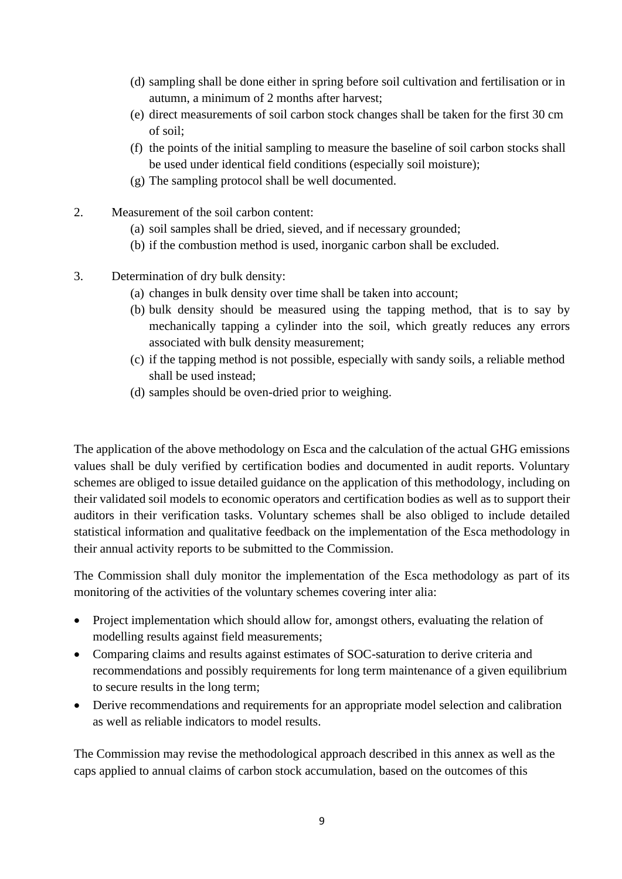- (d) sampling shall be done either in spring before soil cultivation and fertilisation or in autumn, a minimum of 2 months after harvest;
- (e) direct measurements of soil carbon stock changes shall be taken for the first 30 cm of soil;
- (f) the points of the initial sampling to measure the baseline of soil carbon stocks shall be used under identical field conditions (especially soil moisture);
- (g) The sampling protocol shall be well documented.
- 2. Measurement of the soil carbon content:
	- (a) soil samples shall be dried, sieved, and if necessary grounded;
	- (b) if the combustion method is used, inorganic carbon shall be excluded.
- 3. Determination of dry bulk density:
	- (a) changes in bulk density over time shall be taken into account;
	- (b) bulk density should be measured using the tapping method, that is to say by mechanically tapping a cylinder into the soil, which greatly reduces any errors associated with bulk density measurement;
	- (c) if the tapping method is not possible, especially with sandy soils, a reliable method shall be used instead;
	- (d) samples should be oven-dried prior to weighing.

The application of the above methodology on Esca and the calculation of the actual GHG emissions values shall be duly verified by certification bodies and documented in audit reports. Voluntary schemes are obliged to issue detailed guidance on the application of this methodology, including on their validated soil models to economic operators and certification bodies as well as to support their auditors in their verification tasks. Voluntary schemes shall be also obliged to include detailed statistical information and qualitative feedback on the implementation of the Esca methodology in their annual activity reports to be submitted to the Commission.

The Commission shall duly monitor the implementation of the Esca methodology as part of its monitoring of the activities of the voluntary schemes covering inter alia:

- Project implementation which should allow for, amongst others, evaluating the relation of modelling results against field measurements;
- Comparing claims and results against estimates of SOC-saturation to derive criteria and recommendations and possibly requirements for long term maintenance of a given equilibrium to secure results in the long term;
- Derive recommendations and requirements for an appropriate model selection and calibration as well as reliable indicators to model results.

The Commission may revise the methodological approach described in this annex as well as the caps applied to annual claims of carbon stock accumulation, based on the outcomes of this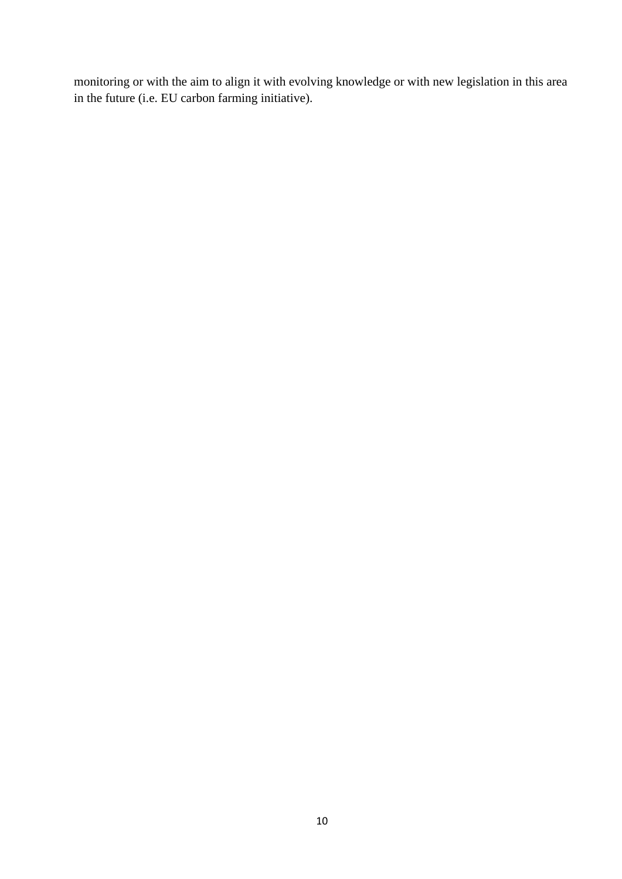monitoring or with the aim to align it with evolving knowledge or with new legislation in this area in the future (i.e. EU carbon farming initiative).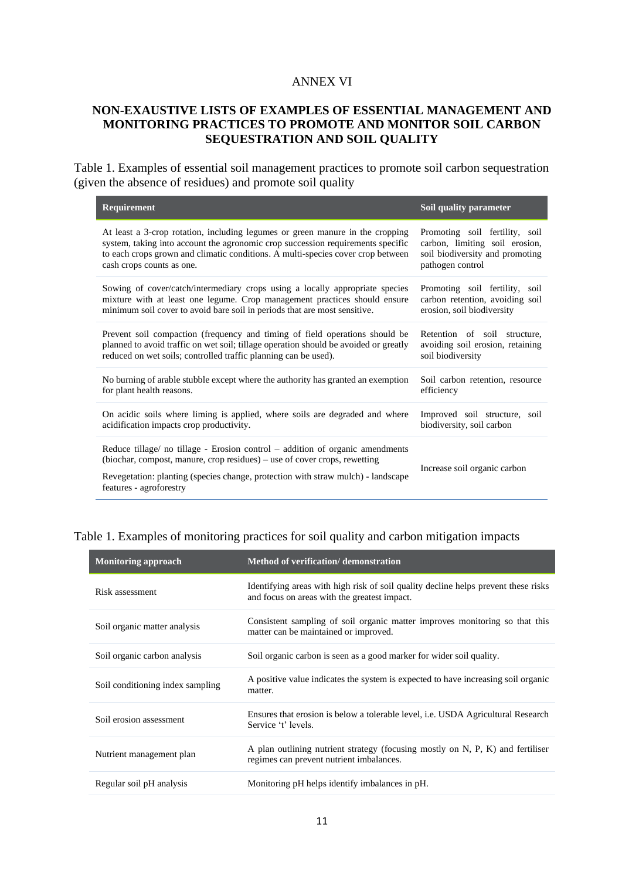#### ANNEX VI

### **NON-EXAUSTIVE LISTS OF EXAMPLES OF ESSENTIAL MANAGEMENT AND MONITORING PRACTICES TO PROMOTE AND MONITOR SOIL CARBON SEQUESTRATION AND SOIL QUALITY**

Table 1. Examples of essential soil management practices to promote soil carbon sequestration (given the absence of residues) and promote soil quality

| Requirement                                                                                                                                                                                                                                    | Soil quality parameter           |
|------------------------------------------------------------------------------------------------------------------------------------------------------------------------------------------------------------------------------------------------|----------------------------------|
| At least a 3-crop rotation, including legumes or green manure in the cropping                                                                                                                                                                  | Promoting soil fertility, soil   |
| system, taking into account the agronomic crop succession requirements specific                                                                                                                                                                | carbon, limiting soil erosion,   |
| to each crops grown and climatic conditions. A multi-species cover crop between                                                                                                                                                                | soil biodiversity and promoting  |
| cash crops counts as one.                                                                                                                                                                                                                      | pathogen control                 |
| Sowing of cover/catch/intermediary crops using a locally appropriate species                                                                                                                                                                   | Promoting soil fertility, soil   |
| mixture with at least one legume. Crop management practices should ensure                                                                                                                                                                      | carbon retention, avoiding soil  |
| minimum soil cover to avoid bare soil in periods that are most sensitive.                                                                                                                                                                      | erosion, soil biodiversity       |
| Prevent soil compaction (frequency and timing of field operations should be                                                                                                                                                                    | Retention of soil structure,     |
| planned to avoid traffic on wet soil; tillage operation should be avoided or greatly                                                                                                                                                           | avoiding soil erosion, retaining |
| reduced on wet soils; controlled traffic planning can be used).                                                                                                                                                                                | soil biodiversity                |
| No burning of arable stubble except where the authority has granted an exemption                                                                                                                                                               | Soil carbon retention, resource  |
| for plant health reasons.                                                                                                                                                                                                                      | efficiency                       |
| On acidic soils where liming is applied, where soils are degraded and where                                                                                                                                                                    | Improved soil structure, soil    |
| acidification impacts crop productivity.                                                                                                                                                                                                       | biodiversity, soil carbon        |
| Reduce tillage/ no tillage - Erosion control – addition of organic amendments<br>(biochar, compost, manure, crop residues) – use of cover crops, rewetting<br>Revegetation: planting (species change, protection with straw mulch) - landscape | Increase soil organic carbon     |
| features - agroforestry                                                                                                                                                                                                                        |                                  |

### Table 1. Examples of monitoring practices for soil quality and carbon mitigation impacts

| <b>Monitoring approach</b>       | Method of verification/demonstration                                                                                               |
|----------------------------------|------------------------------------------------------------------------------------------------------------------------------------|
| Risk assessment                  | Identifying areas with high risk of soil quality decline helps prevent these risks<br>and focus on areas with the greatest impact. |
| Soil organic matter analysis     | Consistent sampling of soil organic matter improves monitoring so that this<br>matter can be maintained or improved.               |
| Soil organic carbon analysis     | Soil organic carbon is seen as a good marker for wider soil quality.                                                               |
| Soil conditioning index sampling | A positive value indicates the system is expected to have increasing soil organic<br>matter.                                       |
| Soil erosion assessment          | Ensures that erosion is below a tolerable level, <i>i.e.</i> USDA Agricultural Research<br>Service 't' levels.                     |
| Nutrient management plan         | A plan outlining nutrient strategy (focusing mostly on N, P, K) and fertiliser<br>regimes can prevent nutrient imbalances.         |
| Regular soil pH analysis         | Monitoring pH helps identify imbalances in pH.                                                                                     |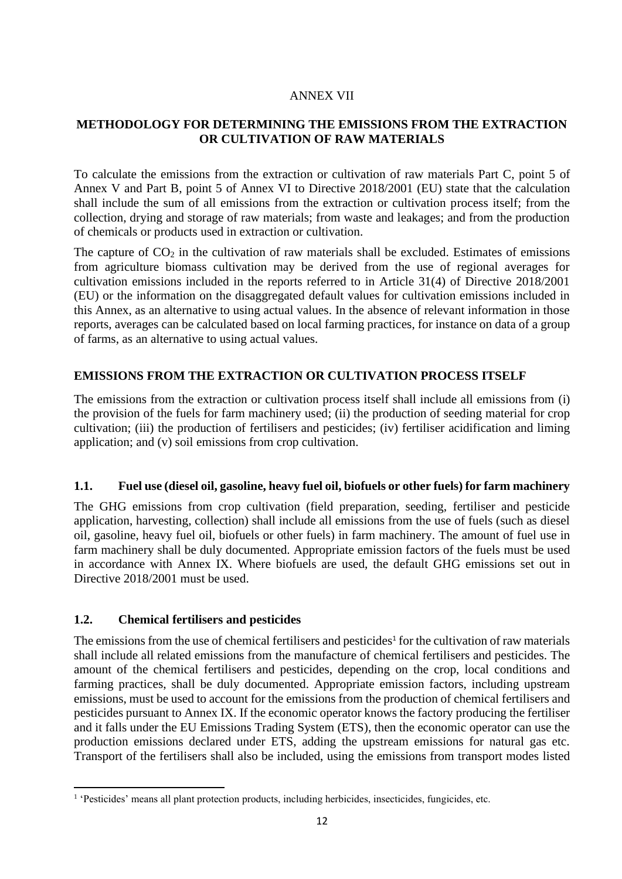### ANNEX VII

### **METHODOLOGY FOR DETERMINING THE EMISSIONS FROM THE EXTRACTION OR CULTIVATION OF RAW MATERIALS**

To calculate the emissions from the extraction or cultivation of raw materials Part C, point 5 of Annex V and Part B, point 5 of Annex VI to Directive 2018/2001 (EU) state that the calculation shall include the sum of all emissions from the extraction or cultivation process itself; from the collection, drying and storage of raw materials; from waste and leakages; and from the production of chemicals or products used in extraction or cultivation.

The capture of  $CO<sub>2</sub>$  in the cultivation of raw materials shall be excluded. Estimates of emissions from agriculture biomass cultivation may be derived from the use of regional averages for cultivation emissions included in the reports referred to in Article 31(4) of Directive 2018/2001 (EU) or the information on the disaggregated default values for cultivation emissions included in this Annex, as an alternative to using actual values. In the absence of relevant information in those reports, averages can be calculated based on local farming practices, for instance on data of a group of farms, as an alternative to using actual values.

### **EMISSIONS FROM THE EXTRACTION OR CULTIVATION PROCESS ITSELF**

The emissions from the extraction or cultivation process itself shall include all emissions from (i) the provision of the fuels for farm machinery used; (ii) the production of seeding material for crop cultivation; (iii) the production of fertilisers and pesticides; (iv) fertiliser acidification and liming application; and (v) soil emissions from crop cultivation.

### **1.1. Fuel use (diesel oil, gasoline, heavy fuel oil, biofuels or other fuels) for farm machinery**

The GHG emissions from crop cultivation (field preparation, seeding, fertiliser and pesticide application, harvesting, collection) shall include all emissions from the use of fuels (such as diesel oil, gasoline, heavy fuel oil, biofuels or other fuels) in farm machinery. The amount of fuel use in farm machinery shall be duly documented. Appropriate emission factors of the fuels must be used in accordance with Annex IX. Where biofuels are used, the default GHG emissions set out in Directive 2018/2001 must be used.

### **1.2. Chemical fertilisers and pesticides**

The emissions from the use of chemical fertilisers and pesticides<sup>1</sup> for the cultivation of raw materials shall include all related emissions from the manufacture of chemical fertilisers and pesticides. The amount of the chemical fertilisers and pesticides, depending on the crop, local conditions and farming practices, shall be duly documented. Appropriate emission factors, including upstream emissions, must be used to account for the emissions from the production of chemical fertilisers and pesticides pursuant to Annex IX. If the economic operator knows the factory producing the fertiliser and it falls under the EU Emissions Trading System (ETS), then the economic operator can use the production emissions declared under ETS, adding the upstream emissions for natural gas etc. Transport of the fertilisers shall also be included, using the emissions from transport modes listed

<sup>&</sup>lt;sup>1</sup> 'Pesticides' means all plant protection products, including herbicides, insecticides, fungicides, etc.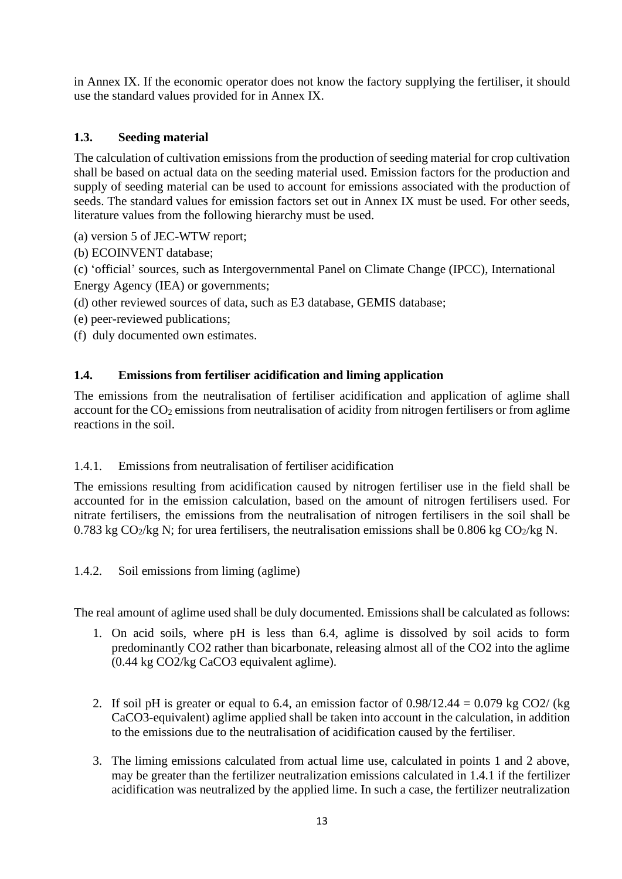in Annex IX. If the economic operator does not know the factory supplying the fertiliser, it should use the standard values provided for in Annex IX.

## **1.3. Seeding material**

The calculation of cultivation emissions from the production of seeding material for crop cultivation shall be based on actual data on the seeding material used. Emission factors for the production and supply of seeding material can be used to account for emissions associated with the production of seeds. The standard values for emission factors set out in Annex IX must be used. For other seeds, literature values from the following hierarchy must be used.

- (a) version 5 of JEC-WTW report;
- (b) ECOINVENT database;
- (c) 'official' sources, such as Intergovernmental Panel on Climate Change (IPCC), International
- Energy Agency (IEA) or governments;
- (d) other reviewed sources of data, such as E3 database, GEMIS database;
- (e) peer-reviewed publications;
- (f) duly documented own estimates.

## **1.4. Emissions from fertiliser acidification and liming application**

The emissions from the neutralisation of fertiliser acidification and application of aglime shall account for the  $CO<sub>2</sub>$  emissions from neutralisation of acidity from nitrogen fertilisers or from aglime reactions in the soil.

### 1.4.1. Emissions from neutralisation of fertiliser acidification

The emissions resulting from acidification caused by nitrogen fertiliser use in the field shall be accounted for in the emission calculation, based on the amount of nitrogen fertilisers used. For nitrate fertilisers, the emissions from the neutralisation of nitrogen fertilisers in the soil shall be 0.783 kg  $CO<sub>2</sub>/kg N$ ; for urea fertilisers, the neutralisation emissions shall be 0.806 kg  $CO<sub>2</sub>/kg N$ .

1.4.2. Soil emissions from liming (aglime)

The real amount of aglime used shall be duly documented. Emissions shall be calculated as follows:

- 1. On acid soils, where pH is less than 6.4, aglime is dissolved by soil acids to form predominantly CO2 rather than bicarbonate, releasing almost all of the CO2 into the aglime (0.44 kg CO2/kg CaCO3 equivalent aglime).
- 2. If soil pH is greater or equal to 6.4, an emission factor of  $0.98/12.44 = 0.079$  kg CO2/ (kg CaCO3-equivalent) aglime applied shall be taken into account in the calculation, in addition to the emissions due to the neutralisation of acidification caused by the fertiliser.
- 3. The liming emissions calculated from actual lime use, calculated in points 1 and 2 above, may be greater than the fertilizer neutralization emissions calculated in 1.4.1 if the fertilizer acidification was neutralized by the applied lime. In such a case, the fertilizer neutralization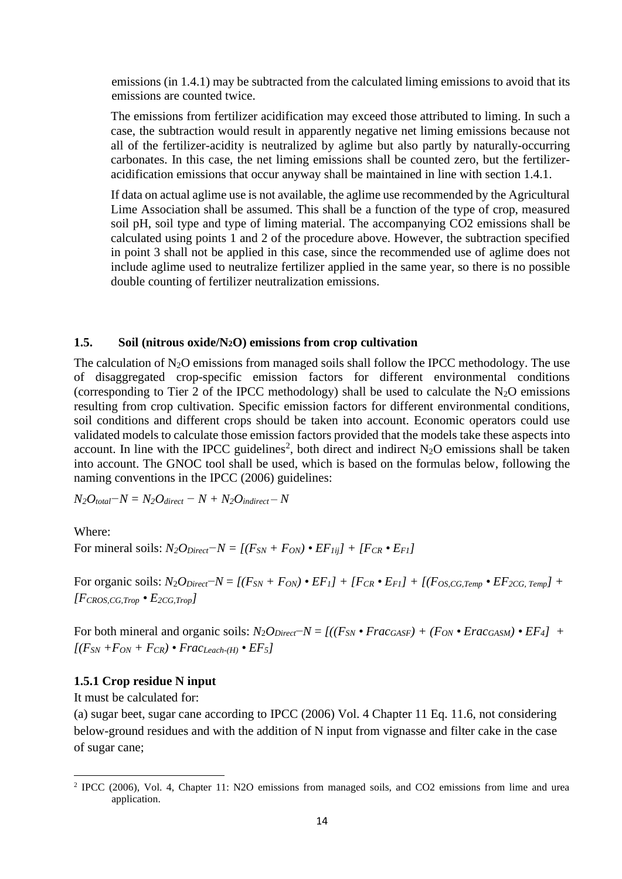emissions (in 1.4.1) may be subtracted from the calculated liming emissions to avoid that its emissions are counted twice.

The emissions from fertilizer acidification may exceed those attributed to liming. In such a case, the subtraction would result in apparently negative net liming emissions because not all of the fertilizer-acidity is neutralized by aglime but also partly by naturally-occurring carbonates. In this case, the net liming emissions shall be counted zero, but the fertilizeracidification emissions that occur anyway shall be maintained in line with section 1.4.1.

If data on actual aglime use is not available, the aglime use recommended by the Agricultural Lime Association shall be assumed. This shall be a function of the type of crop, measured soil pH, soil type and type of liming material. The accompanying CO2 emissions shall be calculated using points 1 and 2 of the procedure above. However, the subtraction specified in point 3 shall not be applied in this case, since the recommended use of aglime does not include aglime used to neutralize fertilizer applied in the same year, so there is no possible double counting of fertilizer neutralization emissions.

#### **1.5. Soil (nitrous oxide/N2O) emissions from crop cultivation**

The calculation of  $N_2O$  emissions from managed soils shall follow the IPCC methodology. The use of disaggregated crop-specific emission factors for different environmental conditions (corresponding to Tier 2 of the IPCC methodology) shall be used to calculate the  $N_2O$  emissions resulting from crop cultivation. Specific emission factors for different environmental conditions, soil conditions and different crops should be taken into account. Economic operators could use validated models to calculate those emission factors provided that the models take these aspects into account. In line with the IPCC guidelines<sup>2</sup>, both direct and indirect  $N_2O$  emissions shall be taken into account. The GNOC tool shall be used, which is based on the formulas below, following the naming conventions in the IPCC (2006) guidelines:

$$
N_2O_{total}-N=N_2O_{direct}-N+N_2O_{indirect}-N
$$

Where:

For mineral soils:  $N_2O_{Direct} - N = [(F_{SN} + F_{ON}) \cdot EF_{Iij}] + [F_{CR} \cdot E_{FI}]$ 

For organic soils:  $N_2O_{Direct} - N = [(F_{SN} + F_{ON}) \cdot EF_1] + [F_{CR} \cdot E_{FI}] + [(F_{OS, CG,Temp} \cdot EF_2) + F_{C} \cdot F_{ST}] + [F_{CS, CG,Temp}]$  $[FCROS, CG, Trop \cdot E2CG, Trop]$ 

For both mineral and organic soils:  $N_2O_{Direct}$ − $N = J((F_{SN} \cdot Frac_{GASF}) + (F_{ON} \cdot Frac_{GASM}) \cdot FF_4]$  +  $[(F_{SN} + F_{ON} + F_{CR}) \cdot Frac_{Leach-(H)} \cdot EF_5]$ 

### **1.5.1 Crop residue N input**

It must be calculated for:

(a) sugar beet, sugar cane according to IPCC (2006) Vol. 4 Chapter 11 Eq. 11.6, not considering below-ground residues and with the addition of N input from vignasse and filter cake in the case of sugar cane;

<sup>&</sup>lt;sup>2</sup> IPCC (2006), Vol. 4, Chapter 11: N2O emissions from managed soils, and CO2 emissions from lime and urea application.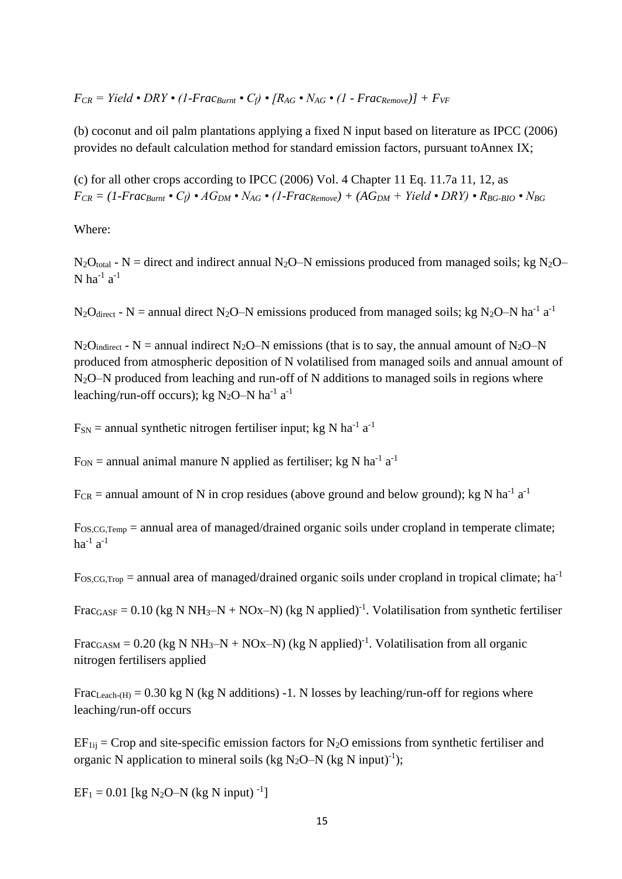(b) coconut and oil palm plantations applying a fixed N input based on literature as IPCC (2006) provides no default calculation method for standard emission factors, pursuant toAnnex IX;

(c) for all other crops according to IPCC (2006) Vol. 4 Chapter 11 Eq. 11.7a 11, 12, as  $F_{CR} = (1-Frac_{Burnt} \cdot C_f) \cdot AG_{DM} \cdot N_{AG} \cdot (1-Frac_{Remove}) + (AG_{DM} + Yield \cdot DRY) \cdot R_{BG-BIO} \cdot N_{BG}$ 

Where:

 $N_2O_{\text{total}}$  - N = direct and indirect annual N<sub>2</sub>O–N emissions produced from managed soils; kg N<sub>2</sub>O– N ha<sup>-1</sup> a<sup>-1</sup>

 $N_2O_{\text{direct}}$  - N = annual direct N<sub>2</sub>O–N emissions produced from managed soils; kg N<sub>2</sub>O–N ha<sup>-1</sup> a<sup>-1</sup>

 $N_2O_{indirect}$  - N = annual indirect N<sub>2</sub>O–N emissions (that is to say, the annual amount of N<sub>2</sub>O–N produced from atmospheric deposition of N volatilised from managed soils and annual amount of  $N_2O-N$  produced from leaching and run-off of N additions to managed soils in regions where leaching/run-off occurs); kg N<sub>2</sub>O-N ha<sup>-1</sup> a<sup>-1</sup>

 $F_{SN}$  = annual synthetic nitrogen fertiliser input; kg N ha<sup>-1</sup> a<sup>-1</sup>

 $F_{ON}$  = annual animal manure N applied as fertiliser; kg N ha<sup>-1</sup> a<sup>-1</sup>

 $F_{CR}$  = annual amount of N in crop residues (above ground and below ground); kg N ha<sup>-1</sup> a<sup>-1</sup>

FOS,CG,Temp = annual area of managed/drained organic soils under cropland in temperate climate; ha $^{-1}$  a $^{-1}$ 

 $F_{OS,CG,Top}$  = annual area of managed/drained organic soils under cropland in tropical climate; ha<sup>-1</sup>

Frac<sub>GASF</sub> = 0.10 (kg N NH<sub>3</sub>-N + NOx-N) (kg N applied)<sup>-1</sup>. Volatilisation from synthetic fertiliser

Frac<sub>GASM</sub> = 0.20 (kg N NH<sub>3</sub>-N + NOx-N) (kg N applied)<sup>-1</sup>. Volatilisation from all organic nitrogen fertilisers applied

Frac<sub>Leach-(H)</sub> = 0.30 kg N (kg N additions) -1. N losses by leaching/run-off for regions where leaching/run-off occurs

 $EF_{1ii}$  = Crop and site-specific emission factors for N<sub>2</sub>O emissions from synthetic fertiliser and organic N application to mineral soils (kg N<sub>2</sub>O–N (kg N input)<sup>-1</sup>);

 $EF_1 = 0.01$  [kg N<sub>2</sub>O–N (kg N input)<sup>-1</sup>]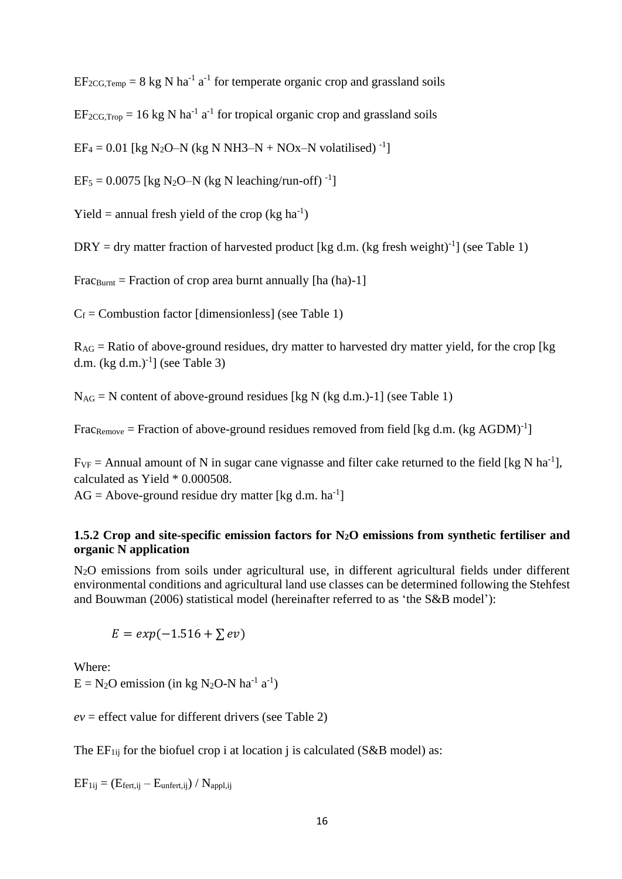$EF_{2CG,Temp} = 8$  kg N ha<sup>-1</sup> a<sup>-1</sup> for temperate organic crop and grassland soils

 $EF_{2CG, Trop} = 16$  kg N ha<sup>-1</sup> a<sup>-1</sup> for tropical organic crop and grassland soils

 $EF_4 = 0.01$  [kg N<sub>2</sub>O–N (kg N NH3–N + NOx–N volatilised)<sup>-1</sup>]

 $EF_5 = 0.0075$  [kg N<sub>2</sub>O–N (kg N leaching/run-off)<sup>-1</sup>]

Yield = annual fresh yield of the crop (kg  $ha^{-1}$ )

 $DRY = dry$  matter fraction of harvested product [kg d.m. (kg fresh weight)<sup>-1</sup>] (see Table 1)

 $Frac{Burnt}$  = Fraction of crop area burnt annually [ha (ha)-1]

 $C_f$  = Combustion factor [dimensionless] (see Table 1)

 $R_{AG}$  = Ratio of above-ground residues, dry matter to harvested dry matter yield, for the crop [kg] d.m.  $(kg d.m.)^{-1}$ ] (see Table 3)

 $N_{AG}$  = N content of above-ground residues [kg N (kg d.m.)-1] (see Table 1)

FracRemove = Fraction of above-ground residues removed from field [kg d.m. (kg AGDM)<sup>-1</sup>]

 $F_{VF}$  = Annual amount of N in sugar cane vignasse and filter cake returned to the field [kg N ha<sup>-1</sup>], calculated as Yield \* 0.000508.

 $AG = Above-ground residue dry matter [kg d.m. ha<sup>-1</sup>]$ 

### **1.5.2 Crop and site-specific emission factors for N2O emissions from synthetic fertiliser and organic N application**

N2O emissions from soils under agricultural use, in different agricultural fields under different environmental conditions and agricultural land use classes can be determined following the Stehfest and Bouwman (2006) statistical model (hereinafter referred to as 'the S&B model'):

 $E = exp(-1.516 + \sum ev)$ 

Where:  $E = N_2O$  emission (in kg N<sub>2</sub>O-N ha<sup>-1</sup> a<sup>-1</sup>)

 $ev =$  effect value for different drivers (see Table 2)

The  $EF_{1ij}$  for the biofuel crop i at location j is calculated (S&B model) as:

 $EF_{1ij} = (E_{fert,ij} - E_{unfert,ij}) / N_{appl,ij}$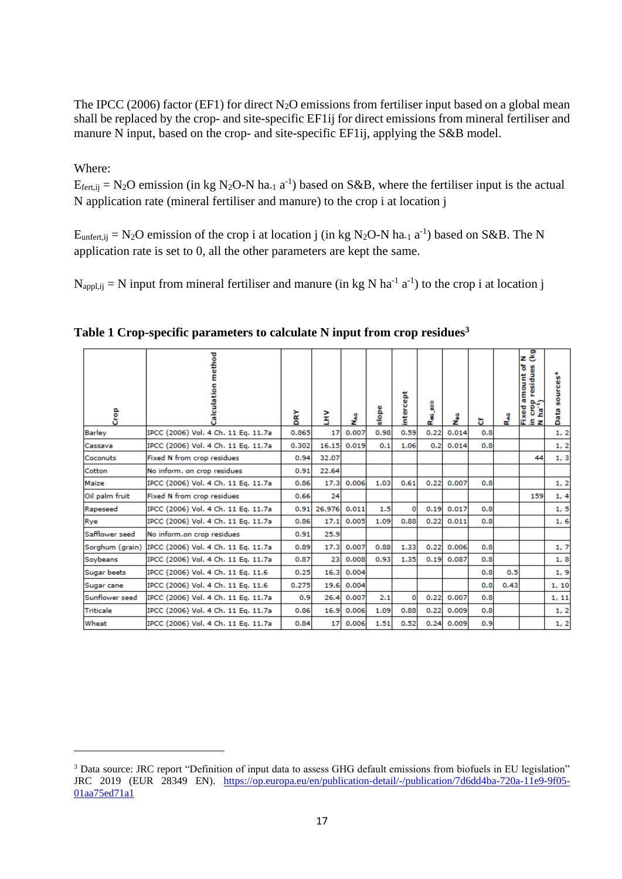The IPCC (2006) factor (EF1) for direct  $N_2O$  emissions from fertiliser input based on a global mean shall be replaced by the crop- and site-specific EF1ij for direct emissions from mineral fertiliser and manure N input, based on the crop- and site-specific EF1ij, applying the S&B model.

### Where:

 $E_{\text{fert,ij}} = N_2O$  emission (in kg N<sub>2</sub>O-N ha<sub>-1</sub> a<sup>-1</sup>) based on S&B, where the fertiliser input is the actual N application rate (mineral fertiliser and manure) to the crop i at location j

 $E_{unfert,ij} = N_2O$  emission of the crop i at location j (in kg N<sub>2</sub>O-N ha<sub>-1</sub> a<sup>-1</sup>) based on S&B. The N application rate is set to 0, all the other parameters are kept the same.

 $N_{\text{appl,ij}} = N$  input from mineral fertiliser and manure (in kg N ha<sup>-1</sup> a<sup>-1</sup>) to the crop i at location j

| ဦ               | ethod<br>Calculatio                 | DRY   | Ě            | š     | slope | intercept | å<br>تع | ۽<br>ح         | ъ   | Rag  | zž<br>amount of<br>S<br>residu<br>ិ<br>ក្នុង<br>Fixed<br>in cro<br>N ha <sup>-1</sup> | sources*<br>Data |
|-----------------|-------------------------------------|-------|--------------|-------|-------|-----------|---------|----------------|-----|------|---------------------------------------------------------------------------------------|------------------|
| <b>Barley</b>   | IPCC (2006) Vol. 4 Ch. 11 Eq. 11.7a | 0.865 | 17           | 0.007 | 0.98  | 0.59      | 0.22    | 0.014          | 0.8 |      |                                                                                       | 1, 2             |
| Cassava         | IPCC (2006) Vol. 4 Ch. 11 Eq. 11.7a | 0.302 | 16.15        | 0.019 | 0.1   | 1.06      | 0.2     | 0.014          | 0.8 |      |                                                                                       | 1, 2             |
| Coconuts        | Fixed N from crop residues          | 0.94  | 32.07        |       |       |           |         |                |     |      | 44                                                                                    | 1, 3             |
| Cotton          | No inform, on crop residues         | 0.91  | 22.64        |       |       |           |         |                |     |      |                                                                                       |                  |
| Maize           | IPCC (2006) Vol. 4 Ch. 11 Eq. 11.7a | 0.86  | 17.3         | 0.006 | 1.03  | 0.61      | 0.22    | 0.007          | 0.8 |      |                                                                                       | 1, 2             |
| Oil palm fruit  | Fixed N from crop residues          | 0.66  | 24           |       |       |           |         |                |     |      | 159                                                                                   | 1, 4             |
| Rapeseed        | IPCC (2006) Vol. 4 Ch. 11 Eq. 11.7a | 0.91  | 26.976 0.011 |       | 1.5   | 0         | 0.19    | 0.017          | 0.8 |      |                                                                                       | 1, 5             |
| Rye             | IPCC (2006) Vol. 4 Ch. 11 Eg. 11.7a | 0.86  | 17.1         | 0.005 | 1.09  | 0.88      | 0.22    | 0.011          | 0.8 |      |                                                                                       | 1,6              |
| Safflower seed  | No inform.on crop residues          | 0.91  | 25.9         |       |       |           |         |                |     |      |                                                                                       |                  |
| Sorghum (grain) | IPCC (2006) Vol. 4 Ch. 11 Eq. 11.7a | 0.89  | 17.3         | 0.007 | 0.88  | 1.33      | 0.22    | 0.006          | 0.8 |      |                                                                                       | 1, 7             |
| Soybeans        | IPCC (2006) Vol. 4 Ch. 11 Eq. 11.7a | 0.87  | 23           | 0.008 | 0.93  | 1.35      | 0.19    | 0.087          | 0.8 |      |                                                                                       | 1,8              |
| Sugar beets     | IPCC (2006) Vol. 4 Ch. 11 Eq. 11.6  | 0.25  | 16.3         | 0.004 |       |           |         |                | 0.8 | 0.5  |                                                                                       | 1,9              |
| Sugar cane      | IPCC (2006) Vol. 4 Ch. 11 Eq. 11.6  | 0.275 | 19.6         | 0.004 |       |           |         |                | 0.8 | 0.43 |                                                                                       | 1, 10            |
| Sunflower seed  | IPCC (2006) Vol. 4 Ch. 11 Eg. 11.7a | 0.9   | 26.4         | 0.007 | 2.1   | 0         | 0.22    | 0.007          | 0.8 |      |                                                                                       | 1, 11            |
| Triticale       | IPCC (2006) Vol. 4 Ch. 11 Eq. 11.7a | 0.86  | 16.9         | 0.006 | 1.09  | 0.88      | 0.22    | 0.009          | 0.8 |      |                                                                                       | 1, 2             |
| Wheat           | IPCC (2006) Vol. 4 Ch. 11 Eq. 11.7a | 0.84  | 17           | 0.006 | 1.51  | 0.52      |         | $0.24 \ 0.009$ | 0.9 |      |                                                                                       | 1, 2             |

**Table 1 Crop-specific parameters to calculate N input from crop residues<sup>3</sup>**

<sup>&</sup>lt;sup>3</sup> Data source: JRC report "Definition of input data to assess GHG default emissions from biofuels in EU legislation" JRC 2019 (EUR 28349 EN). [https://op.europa.eu/en/publication-detail/-/publication/7d6dd4ba-720a-11e9-9f05-](https://op.europa.eu/en/publication-detail/-/publication/7d6dd4ba-720a-11e9-9f05-01aa75ed71a1) [01aa75ed71a1](https://op.europa.eu/en/publication-detail/-/publication/7d6dd4ba-720a-11e9-9f05-01aa75ed71a1)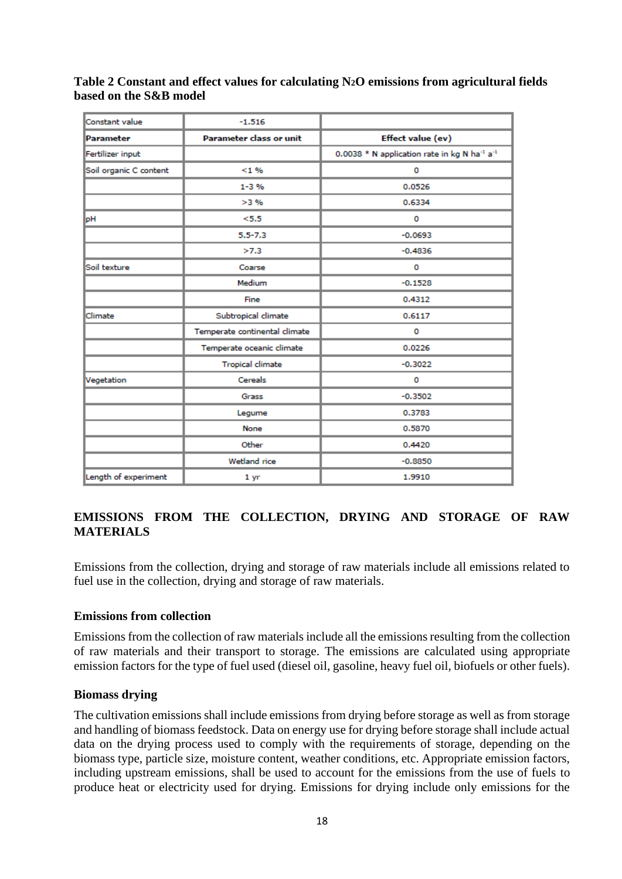**Table 2 Constant and effect values for calculating N2O emissions from agricultural fields based on the S&B model**

| Constant value         | $-1.516$                       |                                                                      |
|------------------------|--------------------------------|----------------------------------------------------------------------|
| Parameter              | <b>Parameter class or unit</b> | Effect value (ev)                                                    |
| Fertilizer input       |                                | 0.0038 * N application rate in kg N ha <sup>-1</sup> a <sup>-1</sup> |
| Soil organic C content | $< 1 \%$                       | 0                                                                    |
|                        | $1 - 3 %$                      | 0.0526                                                               |
|                        | >3%                            | 0.6334                                                               |
| pН                     | < 5.5                          | 0                                                                    |
|                        | $5.5 - 7.3$                    | $-0.0693$                                                            |
|                        | >7.3                           | $-0.4836$                                                            |
| Soil texture           | Coarse                         | 0                                                                    |
|                        | Medium                         | $-0.1528$                                                            |
|                        | Fine                           | 0.4312                                                               |
| Climate                | Subtropical climate            | 0.6117                                                               |
|                        | Temperate continental climate  | 0                                                                    |
|                        | Temperate oceanic climate      | 0.0226                                                               |
|                        | <b>Tropical climate</b>        | $-0.3022$                                                            |
| Vegetation             | Cereals                        | 0                                                                    |
|                        | Grass                          | $-0.3502$                                                            |
|                        | Legume                         | 0.3783                                                               |
|                        | None                           | 0.5870                                                               |
|                        | Other                          | 0.4420                                                               |
|                        | Wetland rice                   | $-0.8850$                                                            |
| Length of experiment   | 1 <sub>yr</sub>                | 1.9910                                                               |
|                        |                                |                                                                      |

## **EMISSIONS FROM THE COLLECTION, DRYING AND STORAGE OF RAW MATERIALS**

Emissions from the collection, drying and storage of raw materials include all emissions related to fuel use in the collection, drying and storage of raw materials.

### **Emissions from collection**

Emissions from the collection of raw materials include all the emissions resulting from the collection of raw materials and their transport to storage. The emissions are calculated using appropriate emission factors for the type of fuel used (diesel oil, gasoline, heavy fuel oil, biofuels or other fuels).

### **Biomass drying**

The cultivation emissions shall include emissions from drying before storage as well as from storage and handling of biomass feedstock. Data on energy use for drying before storage shall include actual data on the drying process used to comply with the requirements of storage, depending on the biomass type, particle size, moisture content, weather conditions, etc. Appropriate emission factors, including upstream emissions, shall be used to account for the emissions from the use of fuels to produce heat or electricity used for drying. Emissions for drying include only emissions for the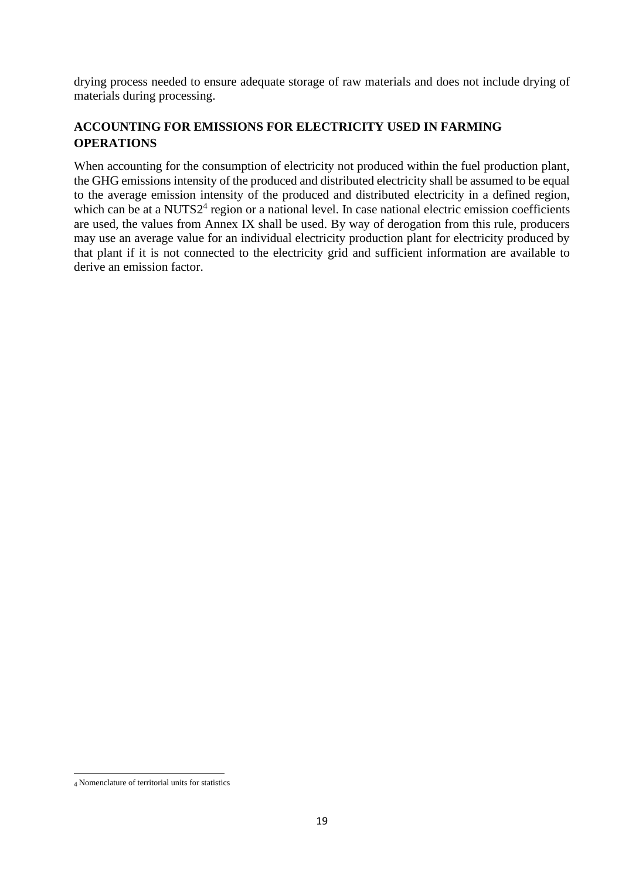drying process needed to ensure adequate storage of raw materials and does not include drying of materials during processing.

## **ACCOUNTING FOR EMISSIONS FOR ELECTRICITY USED IN FARMING OPERATIONS**

When accounting for the consumption of electricity not produced within the fuel production plant, the GHG emissions intensity of the produced and distributed electricity shall be assumed to be equal to the average emission intensity of the produced and distributed electricity in a defined region, which can be at a NUTS2<sup>4</sup> region or a national level. In case national electric emission coefficients are used, the values from Annex IX shall be used. By way of derogation from this rule, producers may use an average value for an individual electricity production plant for electricity produced by that plant if it is not connected to the electricity grid and sufficient information are available to derive an emission factor.

<sup>4</sup> Nomenclature of territorial units for statistics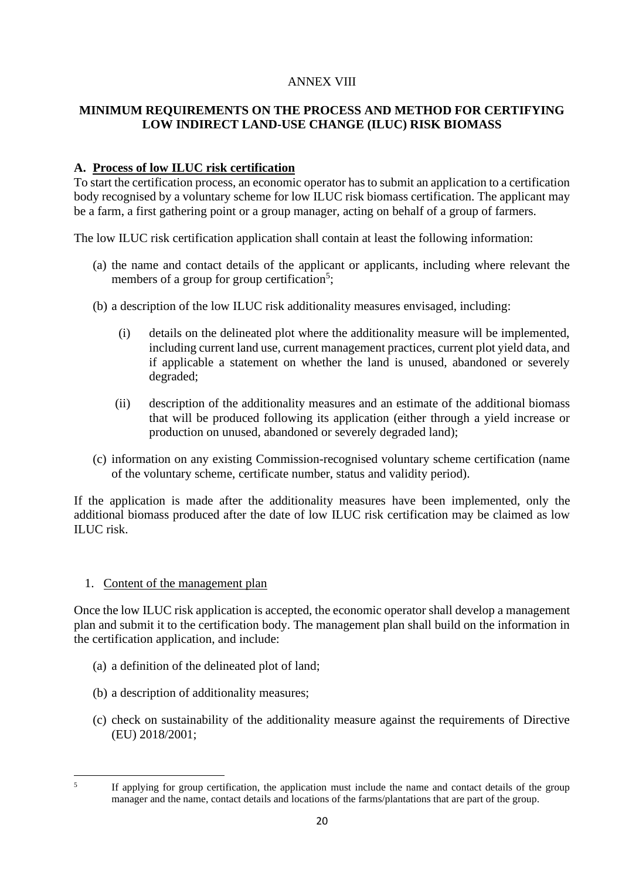## ANNEX VIII

## **MINIMUM REQUIREMENTS ON THE PROCESS AND METHOD FOR CERTIFYING LOW INDIRECT LAND-USE CHANGE (ILUC) RISK BIOMASS**

### **A. Process of low ILUC risk certification**

To start the certification process, an economic operator has to submit an application to a certification body recognised by a voluntary scheme for low ILUC risk biomass certification. The applicant may be a farm, a first gathering point or a group manager, acting on behalf of a group of farmers.

The low ILUC risk certification application shall contain at least the following information:

- (a) the name and contact details of the applicant or applicants, including where relevant the members of a group for group certification<sup>5</sup>;
- (b) a description of the low ILUC risk additionality measures envisaged, including:
	- (i) details on the delineated plot where the additionality measure will be implemented, including current land use, current management practices, current plot yield data, and if applicable a statement on whether the land is unused, abandoned or severely degraded;
	- (ii) description of the additionality measures and an estimate of the additional biomass that will be produced following its application (either through a yield increase or production on unused, abandoned or severely degraded land);
- (c) information on any existing Commission-recognised voluntary scheme certification (name of the voluntary scheme, certificate number, status and validity period).

If the application is made after the additionality measures have been implemented, only the additional biomass produced after the date of low ILUC risk certification may be claimed as low ILUC risk.

1. Content of the management plan

Once the low ILUC risk application is accepted, the economic operator shall develop a management plan and submit it to the certification body. The management plan shall build on the information in the certification application, and include:

- (a) a definition of the delineated plot of land;
- (b) a description of additionality measures;
- (c) check on sustainability of the additionality measure against the requirements of Directive (EU) 2018/2001;

<sup>5</sup>

If applying for group certification, the application must include the name and contact details of the group manager and the name, contact details and locations of the farms/plantations that are part of the group.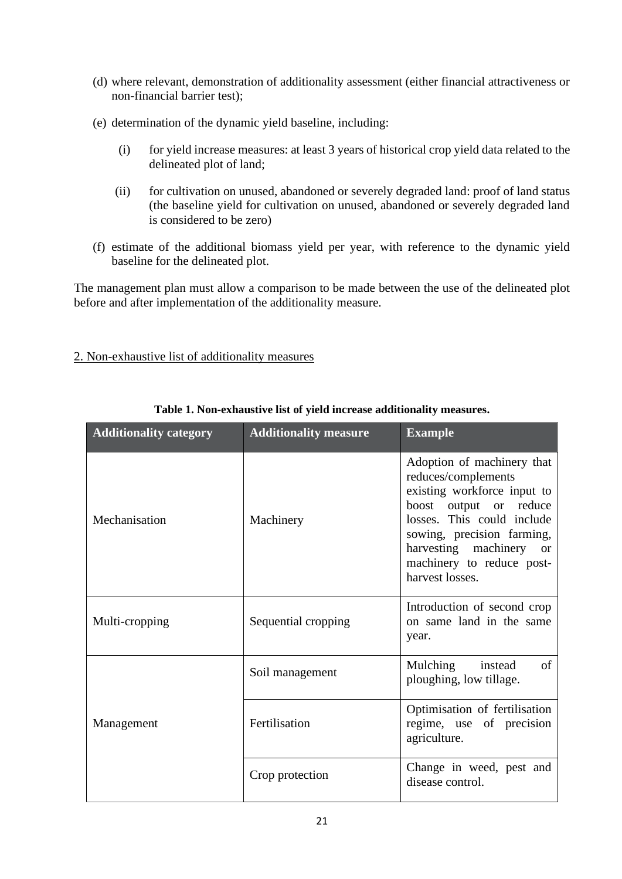- (d) where relevant, demonstration of additionality assessment (either financial attractiveness or non-financial barrier test);
- (e) determination of the dynamic yield baseline, including:
	- (i) for yield increase measures: at least 3 years of historical crop yield data related to the delineated plot of land;
	- (ii) for cultivation on unused, abandoned or severely degraded land: proof of land status (the baseline yield for cultivation on unused, abandoned or severely degraded land is considered to be zero)
- (f) estimate of the additional biomass yield per year, with reference to the dynamic yield baseline for the delineated plot.

The management plan must allow a comparison to be made between the use of the delineated plot before and after implementation of the additionality measure.

### 2. Non-exhaustive list of additionality measures

| <b>Additionality category</b> | <b>Additionality measure</b> | <b>Example</b>                                                                                                                                                                                                                                              |  |  |
|-------------------------------|------------------------------|-------------------------------------------------------------------------------------------------------------------------------------------------------------------------------------------------------------------------------------------------------------|--|--|
| Mechanisation                 | Machinery                    | Adoption of machinery that<br>reduces/complements<br>existing workforce input to<br>boost output or reduce<br>losses. This could include<br>sowing, precision farming,<br>harvesting machinery<br><b>or</b><br>machinery to reduce post-<br>harvest losses. |  |  |
| Multi-cropping                | Sequential cropping          | Introduction of second crop<br>on same land in the same<br>year.                                                                                                                                                                                            |  |  |
|                               | Soil management              | Mulching instead<br>of<br>ploughing, low tillage.                                                                                                                                                                                                           |  |  |
| Management                    | Fertilisation                | Optimisation of fertilisation<br>regime, use of precision<br>agriculture.                                                                                                                                                                                   |  |  |
|                               | Crop protection              | Change in weed, pest and<br>disease control.                                                                                                                                                                                                                |  |  |

### **Table 1. Non-exhaustive list of yield increase additionality measures.**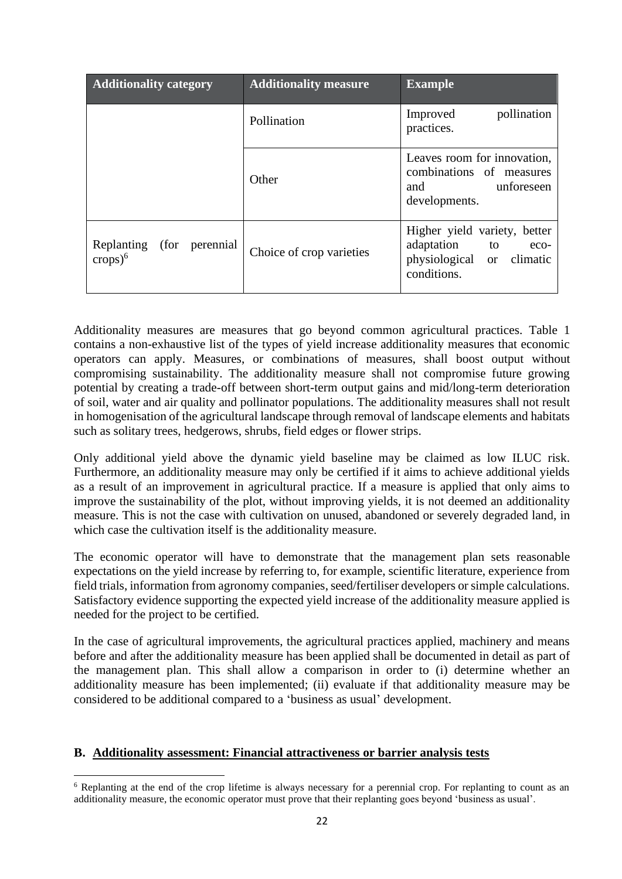| <b>Additionality category</b>                                | <b>Additionality measure</b> | <b>Example</b>                                                                                                     |  |  |  |  |
|--------------------------------------------------------------|------------------------------|--------------------------------------------------------------------------------------------------------------------|--|--|--|--|
|                                                              | Pollination                  | pollination<br>Improved<br>practices.                                                                              |  |  |  |  |
|                                                              | Other                        | Leaves room for innovation,<br>combinations of measures<br><b>unforeseen</b><br>and<br>developments.               |  |  |  |  |
| (for perennial)<br>Replanting<br>$\text{crops}$ <sup>6</sup> | Choice of crop varieties     | Higher yield variety, better<br>adaptation to<br>eco-<br>physiological<br>climatic<br><sub>or</sub><br>conditions. |  |  |  |  |

Additionality measures are measures that go beyond common agricultural practices. Table 1 contains a non-exhaustive list of the types of yield increase additionality measures that economic operators can apply. Measures, or combinations of measures, shall boost output without compromising sustainability. The additionality measure shall not compromise future growing potential by creating a trade-off between short-term output gains and mid/long-term deterioration of soil, water and air quality and pollinator populations. The additionality measures shall not result in homogenisation of the agricultural landscape through removal of landscape elements and habitats such as solitary trees, hedgerows, shrubs, field edges or flower strips.

Only additional yield above the dynamic yield baseline may be claimed as low ILUC risk. Furthermore, an additionality measure may only be certified if it aims to achieve additional yields as a result of an improvement in agricultural practice. If a measure is applied that only aims to improve the sustainability of the plot, without improving yields, it is not deemed an additionality measure. This is not the case with cultivation on unused, abandoned or severely degraded land, in which case the cultivation itself is the additionality measure.

The economic operator will have to demonstrate that the management plan sets reasonable expectations on the yield increase by referring to, for example, scientific literature, experience from field trials, information from agronomy companies, seed/fertiliser developers or simple calculations. Satisfactory evidence supporting the expected yield increase of the additionality measure applied is needed for the project to be certified.

In the case of agricultural improvements, the agricultural practices applied, machinery and means before and after the additionality measure has been applied shall be documented in detail as part of the management plan. This shall allow a comparison in order to (i) determine whether an additionality measure has been implemented; (ii) evaluate if that additionality measure may be considered to be additional compared to a 'business as usual' development.

### **B. Additionality assessment: Financial attractiveness or barrier analysis tests**

<sup>6</sup> Replanting at the end of the crop lifetime is always necessary for a perennial crop. For replanting to count as an additionality measure, the economic operator must prove that their replanting goes beyond 'business as usual'.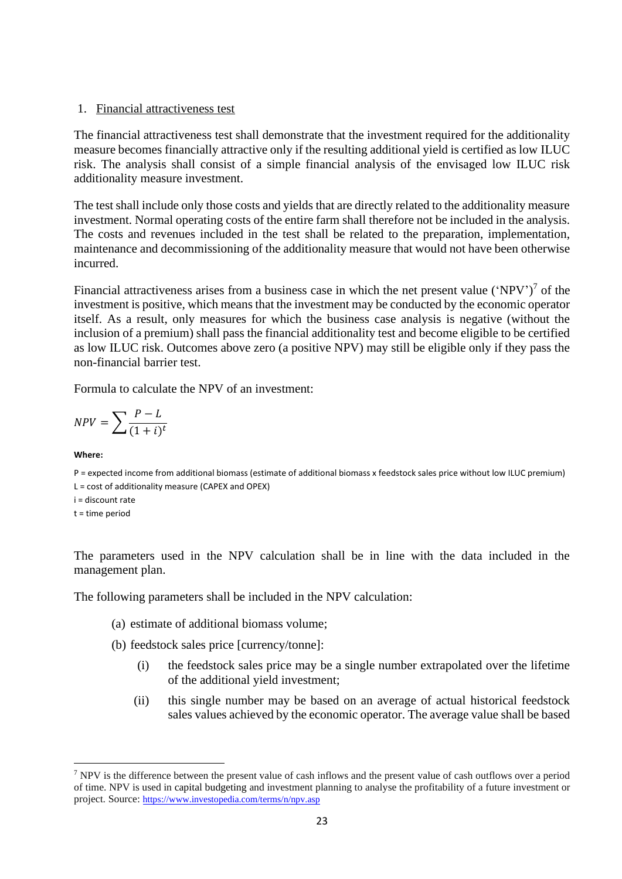#### 1. Financial attractiveness test

The financial attractiveness test shall demonstrate that the investment required for the additionality measure becomes financially attractive only if the resulting additional yield is certified as low ILUC risk. The analysis shall consist of a simple financial analysis of the envisaged low ILUC risk additionality measure investment.

The test shall include only those costs and yields that are directly related to the additionality measure investment. Normal operating costs of the entire farm shall therefore not be included in the analysis. The costs and revenues included in the test shall be related to the preparation, implementation, maintenance and decommissioning of the additionality measure that would not have been otherwise incurred.

Financial attractiveness arises from a business case in which the net present value  $(\text{NPV'})^7$  of the investment is positive, which means that the investment may be conducted by the economic operator itself. As a result, only measures for which the business case analysis is negative (without the inclusion of a premium) shall pass the financial additionality test and become eligible to be certified as low ILUC risk. Outcomes above zero (a positive NPV) may still be eligible only if they pass the non-financial barrier test.

Formula to calculate the NPV of an investment:

$$
NPV = \sum \frac{P - L}{(1 + i)^t}
$$

#### **Where:**

P = expected income from additional biomass (estimate of additional biomass x feedstock sales price without low ILUC premium) L = cost of additionality measure (CAPEX and OPEX)

i = discount rate

t = time period

The parameters used in the NPV calculation shall be in line with the data included in the management plan.

The following parameters shall be included in the NPV calculation:

- (a) estimate of additional biomass volume;
- (b) feedstock sales price [currency/tonne]:
	- (i) the feedstock sales price may be a single number extrapolated over the lifetime of the additional yield investment;
	- (ii) this single number may be based on an average of actual historical feedstock sales values achieved by the economic operator. The average value shall be based

<sup>&</sup>lt;sup>7</sup> NPV is the difference between the present value of cash inflows and the present value of cash outflows over a period of time. NPV is used in capital budgeting and investment planning to analyse the profitability of a future investment or project. Source: <https://www.investopedia.com/terms/n/npv.asp>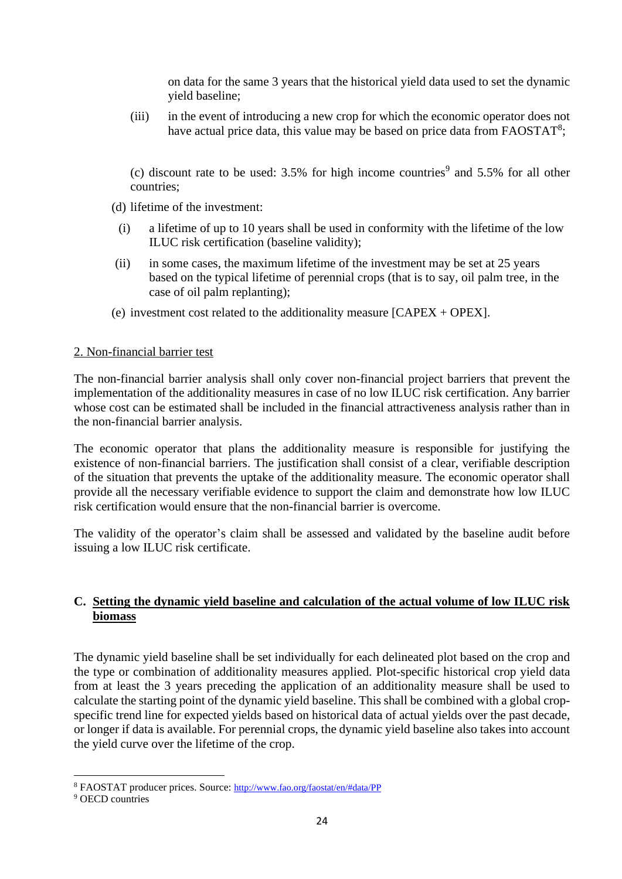on data for the same 3 years that the historical yield data used to set the dynamic yield baseline;

(iii) in the event of introducing a new crop for which the economic operator does not have actual price data, this value may be based on price data from FAOSTAT<sup>8</sup>;

(c) discount rate to be used:  $3.5\%$  for high income countries<sup>9</sup> and  $5.5\%$  for all other countries;

- (d) lifetime of the investment:
	- (i) a lifetime of up to 10 years shall be used in conformity with the lifetime of the low ILUC risk certification (baseline validity);
- (ii) in some cases, the maximum lifetime of the investment may be set at 25 years based on the typical lifetime of perennial crops (that is to say, oil palm tree, in the case of oil palm replanting);
- (e) investment cost related to the additionality measure [CAPEX + OPEX].

### 2. Non-financial barrier test

The non-financial barrier analysis shall only cover non-financial project barriers that prevent the implementation of the additionality measures in case of no low ILUC risk certification. Any barrier whose cost can be estimated shall be included in the financial attractiveness analysis rather than in the non-financial barrier analysis.

The economic operator that plans the additionality measure is responsible for justifying the existence of non-financial barriers. The justification shall consist of a clear, verifiable description of the situation that prevents the uptake of the additionality measure. The economic operator shall provide all the necessary verifiable evidence to support the claim and demonstrate how low ILUC risk certification would ensure that the non-financial barrier is overcome.

The validity of the operator's claim shall be assessed and validated by the baseline audit before issuing a low ILUC risk certificate.

### **C. Setting the dynamic yield baseline and calculation of the actual volume of low ILUC risk biomass**

The dynamic yield baseline shall be set individually for each delineated plot based on the crop and the type or combination of additionality measures applied. Plot-specific historical crop yield data from at least the 3 years preceding the application of an additionality measure shall be used to calculate the starting point of the dynamic yield baseline. This shall be combined with a global cropspecific trend line for expected yields based on historical data of actual yields over the past decade, or longer if data is available. For perennial crops, the dynamic yield baseline also takes into account the yield curve over the lifetime of the crop.

<sup>8</sup> FAOSTAT producer prices. Source: <http://www.fao.org/faostat/en/#data/PP>

<sup>&</sup>lt;sup>9</sup> OECD countries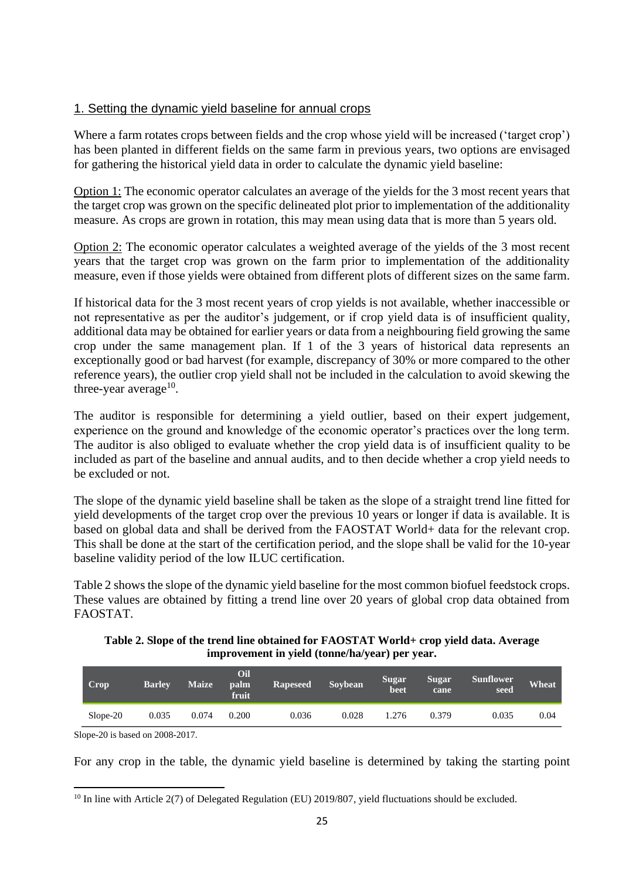### 1. Setting the dynamic yield baseline for annual crops

Where a farm rotates crops between fields and the crop whose yield will be increased ('target crop') has been planted in different fields on the same farm in previous years, two options are envisaged for gathering the historical yield data in order to calculate the dynamic yield baseline:

Option 1: The economic operator calculates an average of the yields for the 3 most recent years that the target crop was grown on the specific delineated plot prior to implementation of the additionality measure. As crops are grown in rotation, this may mean using data that is more than 5 years old.

Option 2: The economic operator calculates a weighted average of the yields of the 3 most recent years that the target crop was grown on the farm prior to implementation of the additionality measure, even if those yields were obtained from different plots of different sizes on the same farm.

If historical data for the 3 most recent years of crop yields is not available, whether inaccessible or not representative as per the auditor's judgement, or if crop yield data is of insufficient quality, additional data may be obtained for earlier years or data from a neighbouring field growing the same crop under the same management plan. If 1 of the 3 years of historical data represents an exceptionally good or bad harvest (for example, discrepancy of 30% or more compared to the other reference years), the outlier crop yield shall not be included in the calculation to avoid skewing the three-year average $^{10}$ .

The auditor is responsible for determining a yield outlier, based on their expert judgement, experience on the ground and knowledge of the economic operator's practices over the long term. The auditor is also obliged to evaluate whether the crop yield data is of insufficient quality to be included as part of the baseline and annual audits, and to then decide whether a crop yield needs to be excluded or not.

The slope of the dynamic yield baseline shall be taken as the slope of a straight trend line fitted for yield developments of the target crop over the previous 10 years or longer if data is available. It is based on global data and shall be derived from the FAOSTAT World+ data for the relevant crop. This shall be done at the start of the certification period, and the slope shall be valid for the 10-year baseline validity period of the low ILUC certification.

Table 2 shows the slope of the dynamic yield baseline for the most common biofuel feedstock crops. These values are obtained by fitting a trend line over 20 years of global crop data obtained from FAOSTAT.

**Table 2. Slope of the trend line obtained for FAOSTAT World+ crop yield data. Average improvement in yield (tonne/ha/year) per year.**

| Crop     | <b>Barley</b> | <b>Maize</b> | Oil<br>palm<br>fruit | <b>Rapeseed</b> | Soybean | <b>Sugar</b><br>beet | <b>Sugar</b><br>cane | <b>Sunflower</b><br>seed | Wheat |
|----------|---------------|--------------|----------------------|-----------------|---------|----------------------|----------------------|--------------------------|-------|
| Slope-20 | 0.035         | 0.074        | 0.200                | 0.036           | 0.028   | .276                 | 0.379                | 0.035                    | 0.04  |

Slope-20 is based on 2008-2017.

For any crop in the table, the dynamic yield baseline is determined by taking the starting point

<sup>&</sup>lt;sup>10</sup> In line with Article 2(7) of Delegated Regulation (EU) 2019/807, yield fluctuations should be excluded.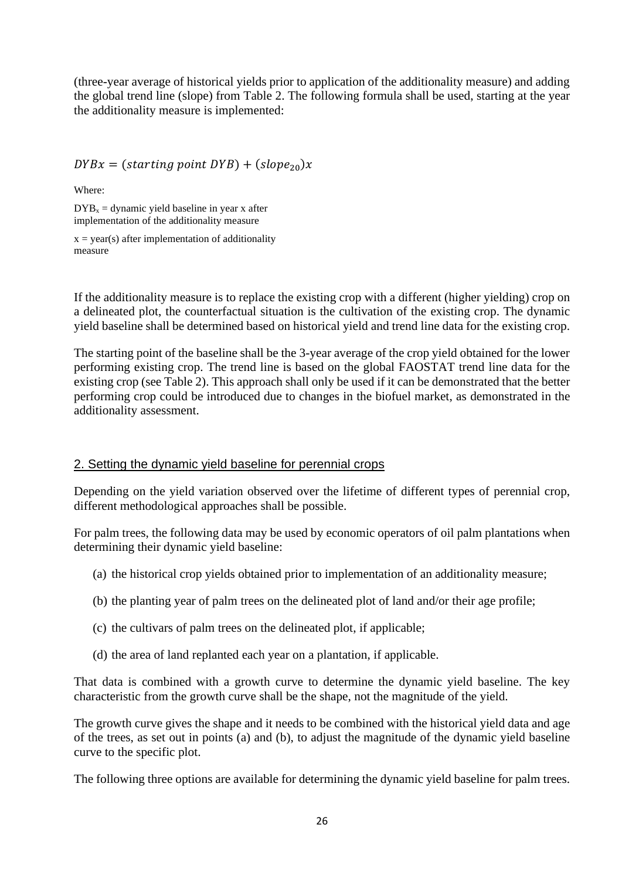(three-year average of historical yields prior to application of the additionality measure) and adding the global trend line (slope) from Table 2. The following formula shall be used, starting at the year the additionality measure is implemented:

 $DYBx = (starting point DYB) + (slope_{20})x$ 

Where:

 $DYB<sub>x</sub> =$  dynamic yield baseline in year x after implementation of the additionality measure

 $x = year(s)$  after implementation of additionality measure

If the additionality measure is to replace the existing crop with a different (higher yielding) crop on a delineated plot, the counterfactual situation is the cultivation of the existing crop. The dynamic yield baseline shall be determined based on historical yield and trend line data for the existing crop.

The starting point of the baseline shall be the 3-year average of the crop yield obtained for the lower performing existing crop. The trend line is based on the global FAOSTAT trend line data for the existing crop (see Table 2). This approach shall only be used if it can be demonstrated that the better performing crop could be introduced due to changes in the biofuel market, as demonstrated in the additionality assessment.

### 2. Setting the dynamic yield baseline for perennial crops

Depending on the yield variation observed over the lifetime of different types of perennial crop, different methodological approaches shall be possible.

For palm trees, the following data may be used by economic operators of oil palm plantations when determining their dynamic yield baseline:

- (a) the historical crop yields obtained prior to implementation of an additionality measure;
- (b) the planting year of palm trees on the delineated plot of land and/or their age profile;
- (c) the cultivars of palm trees on the delineated plot, if applicable;
- (d) the area of land replanted each year on a plantation, if applicable.

That data is combined with a growth curve to determine the dynamic yield baseline. The key characteristic from the growth curve shall be the shape, not the magnitude of the yield.

The growth curve gives the shape and it needs to be combined with the historical yield data and age of the trees, as set out in points (a) and (b), to adjust the magnitude of the dynamic yield baseline curve to the specific plot.

The following three options are available for determining the dynamic yield baseline for palm trees.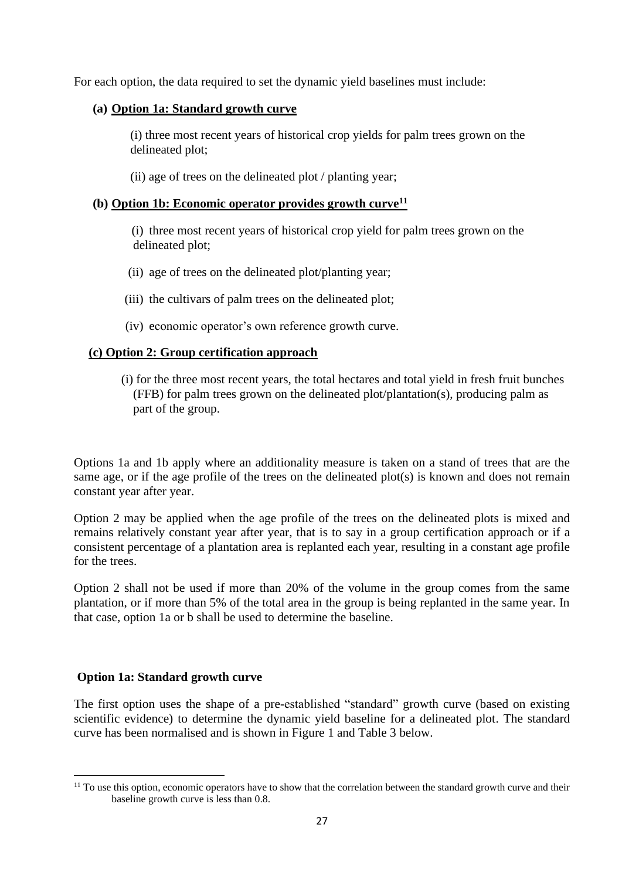For each option, the data required to set the dynamic yield baselines must include:

### **(a) Option 1a: Standard growth curve**

(i) three most recent years of historical crop yields for palm trees grown on the delineated plot;

(ii) age of trees on the delineated plot / planting year;

### **(b) Option 1b: Economic operator provides growth curve<sup>11</sup>**

(i) three most recent years of historical crop yield for palm trees grown on the delineated plot;

- (ii) age of trees on the delineated plot/planting year;
- (iii) the cultivars of palm trees on the delineated plot;
- (iv) economic operator's own reference growth curve.

### **(c) Option 2: Group certification approach**

(i) for the three most recent years, the total hectares and total yield in fresh fruit bunches (FFB) for palm trees grown on the delineated plot/plantation(s), producing palm as part of the group.

Options 1a and 1b apply where an additionality measure is taken on a stand of trees that are the same age, or if the age profile of the trees on the delineated plot(s) is known and does not remain constant year after year.

Option 2 may be applied when the age profile of the trees on the delineated plots is mixed and remains relatively constant year after year, that is to say in a group certification approach or if a consistent percentage of a plantation area is replanted each year, resulting in a constant age profile for the trees.

Option 2 shall not be used if more than 20% of the volume in the group comes from the same plantation, or if more than 5% of the total area in the group is being replanted in the same year. In that case, option 1a or b shall be used to determine the baseline.

### **Option 1a: Standard growth curve**

The first option uses the shape of a pre-established "standard" growth curve (based on existing scientific evidence) to determine the dynamic yield baseline for a delineated plot. The standard curve has been normalised and is shown in Figure 1 and Table 3 below.

 $11$  To use this option, economic operators have to show that the correlation between the standard growth curve and their baseline growth curve is less than 0.8.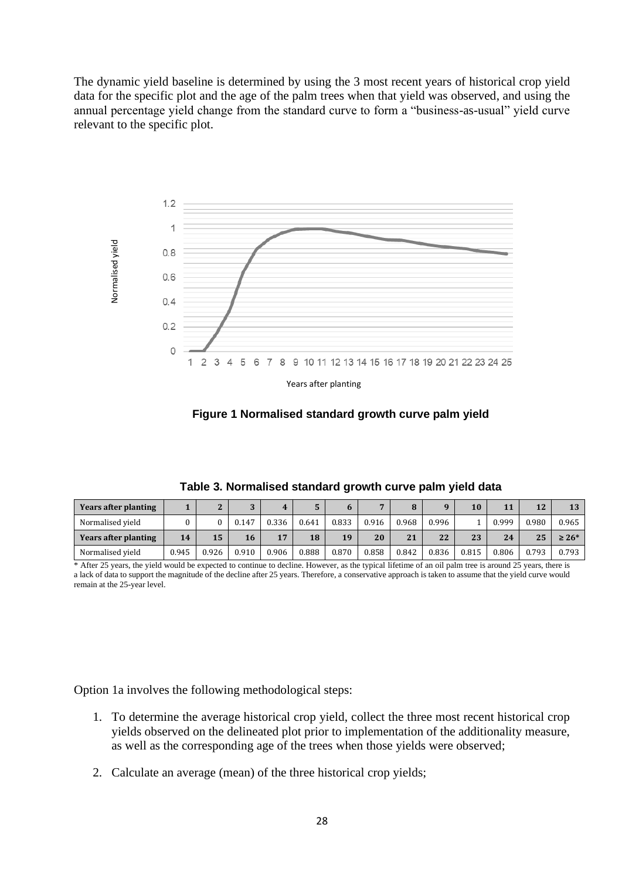The dynamic yield baseline is determined by using the 3 most recent years of historical crop yield data for the specific plot and the age of the palm trees when that yield was observed, and using the annual percentage yield change from the standard curve to form a "business-as-usual" yield curve relevant to the specific plot.





| Years after planting        |       |       |       |       | . .   | n     |       |       |       | 10    | 11    | 12    | 13         |
|-----------------------------|-------|-------|-------|-------|-------|-------|-------|-------|-------|-------|-------|-------|------------|
| Normalised vield            |       |       | 0.147 | 0.336 | 0.641 | 0.833 | 0.916 | 0.968 | 0.996 |       | 0.999 | 0.980 | 0.965      |
| <b>Years after planting</b> | 14    | 15    | 16    | 17    | 18    | 19    | 20    | 21    | 22    | 23    | 24    | 25    | $\geq 26*$ |
| Normalised vield            | 0.945 | 0.926 | 0.910 | 0.906 | 0.888 | 0.870 | 0.858 | 0.842 | 0.836 | 0.815 | 0.806 | 0.793 | 0.793      |

**Table 3. Normalised standard growth curve palm yield data**

\* After 25 years, the yield would be expected to continue to decline. However, as the typical lifetime of an oil palm tree is around 25 years, there is a lack of data to support the magnitude of the decline after 25 years. Therefore, a conservative approach is taken to assume that the yield curve would remain at the 25-year level.

Option 1a involves the following methodological steps:

- 1. To determine the average historical crop yield, collect the three most recent historical crop yields observed on the delineated plot prior to implementation of the additionality measure, as well as the corresponding age of the trees when those yields were observed;
-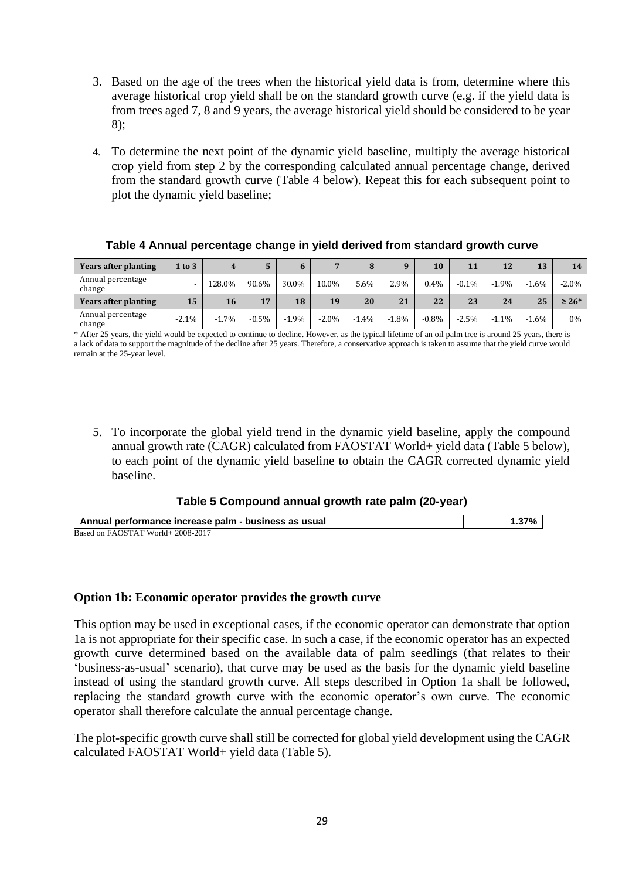- 3. Based on the age of the trees when the historical yield data is from, determine where this average historical crop yield shall be on the standard growth curve (e.g. if the yield data is from trees aged 7, 8 and 9 years, the average historical yield should be considered to be year 8);
- 4. To determine the next point of the dynamic yield baseline, multiply the average historical crop yield from step 2 by the corresponding calculated annual percentage change, derived from the standard growth curve (Table 4 below). Repeat this for each subsequent point to plot the dynamic yield baseline;

| <b>Years after planting</b> | $1$ to $3$ |          |          |          | ▬        |         |         | 10      | 11       | 12       | 13      | 14         |
|-----------------------------|------------|----------|----------|----------|----------|---------|---------|---------|----------|----------|---------|------------|
| Annual percentage<br>change |            | 128.0%   | 90.6%    | 30.0%    | 10.0%    | 5.6%    | 2.9%    | 0.4%    | $-0.1\%$ | $-1.9%$  | $-1.6%$ | $-2.0\%$   |
| <b>Years after planting</b> | 15         | 16       | 17       | 18       | 19       | 20      | 21      | 22      | 23       | 24       | 25      | $\geq 26*$ |
| Annual percentage<br>change | $-2.1%$    | $-1.7\%$ | $-0.5\%$ | $-1.9\%$ | $-2.0\%$ | $-1.4%$ | $-1.8%$ | $-0.8%$ | $-2.5%$  | $-1.1\%$ | $-1.6%$ | 0%         |

#### **Table 4 Annual percentage change in yield derived from standard growth curve**

\* After 25 years, the yield would be expected to continue to decline. However, as the typical lifetime of an oil palm tree is around 25 years, there is a lack of data to support the magnitude of the decline after 25 years. Therefore, a conservative approach is taken to assume that the yield curve would remain at the 25-year level.

5. To incorporate the global yield trend in the dynamic yield baseline, apply the compound annual growth rate (CAGR) calculated from FAOSTAT World+ yield data (Table 5 below), to each point of the dynamic yield baseline to obtain the CAGR corrected dynamic yield baseline.

### **Table 5 Compound annual growth rate palm (20-year)**

| Annual performance increase palm - business as usual | $1.37\%$ |
|------------------------------------------------------|----------|
| Based on FAOSTAT World+ 2008-2017                    |          |

#### **Option 1b: Economic operator provides the growth curve**

This option may be used in exceptional cases, if the economic operator can demonstrate that option 1a is not appropriate for their specific case. In such a case, if the economic operator has an expected growth curve determined based on the available data of palm seedlings (that relates to their 'business-as-usual' scenario), that curve may be used as the basis for the dynamic yield baseline instead of using the standard growth curve. All steps described in Option 1a shall be followed, replacing the standard growth curve with the economic operator's own curve. The economic operator shall therefore calculate the annual percentage change.

The plot-specific growth curve shall still be corrected for global yield development using the CAGR calculated FAOSTAT World+ yield data (Table 5).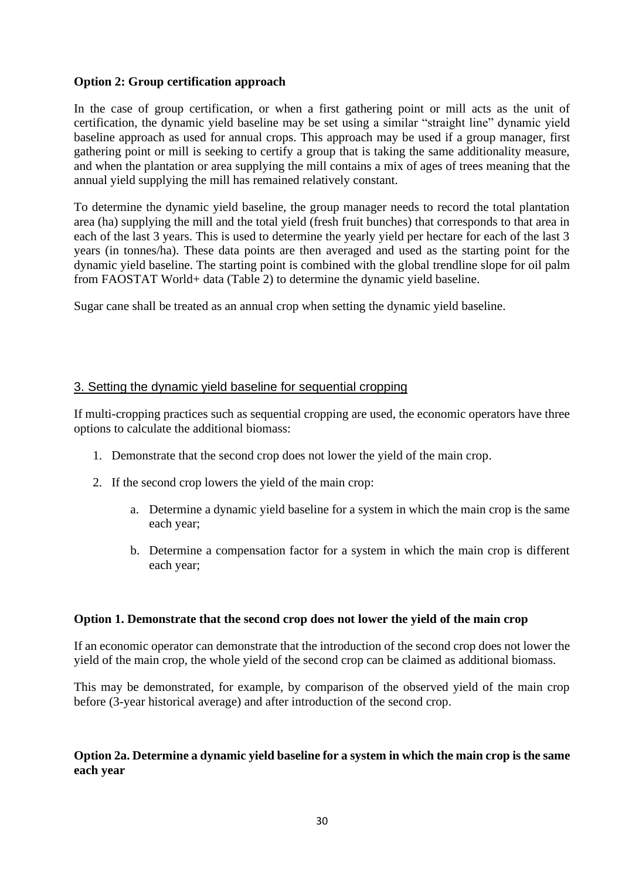### **Option 2: Group certification approach**

In the case of group certification, or when a first gathering point or mill acts as the unit of certification, the dynamic yield baseline may be set using a similar "straight line" dynamic yield baseline approach as used for annual crops. This approach may be used if a group manager, first gathering point or mill is seeking to certify a group that is taking the same additionality measure, and when the plantation or area supplying the mill contains a mix of ages of trees meaning that the annual yield supplying the mill has remained relatively constant.

To determine the dynamic yield baseline, the group manager needs to record the total plantation area (ha) supplying the mill and the total yield (fresh fruit bunches) that corresponds to that area in each of the last 3 years. This is used to determine the yearly yield per hectare for each of the last 3 years (in tonnes/ha). These data points are then averaged and used as the starting point for the dynamic yield baseline. The starting point is combined with the global trendline slope for oil palm from FAOSTAT World+ data (Table 2) to determine the dynamic yield baseline.

Sugar cane shall be treated as an annual crop when setting the dynamic yield baseline.

### 3. Setting the dynamic yield baseline for sequential cropping

If multi-cropping practices such as sequential cropping are used, the economic operators have three options to calculate the additional biomass:

- 1. Demonstrate that the second crop does not lower the yield of the main crop.
- 2. If the second crop lowers the yield of the main crop:
	- a. Determine a dynamic yield baseline for a system in which the main crop is the same each year;
	- b. Determine a compensation factor for a system in which the main crop is different each year;

### **Option 1. Demonstrate that the second crop does not lower the yield of the main crop**

If an economic operator can demonstrate that the introduction of the second crop does not lower the yield of the main crop, the whole yield of the second crop can be claimed as additional biomass.

This may be demonstrated, for example, by comparison of the observed yield of the main crop before (3-year historical average) and after introduction of the second crop.

### **Option 2a. Determine a dynamic yield baseline for a system in which the main crop is the same each year**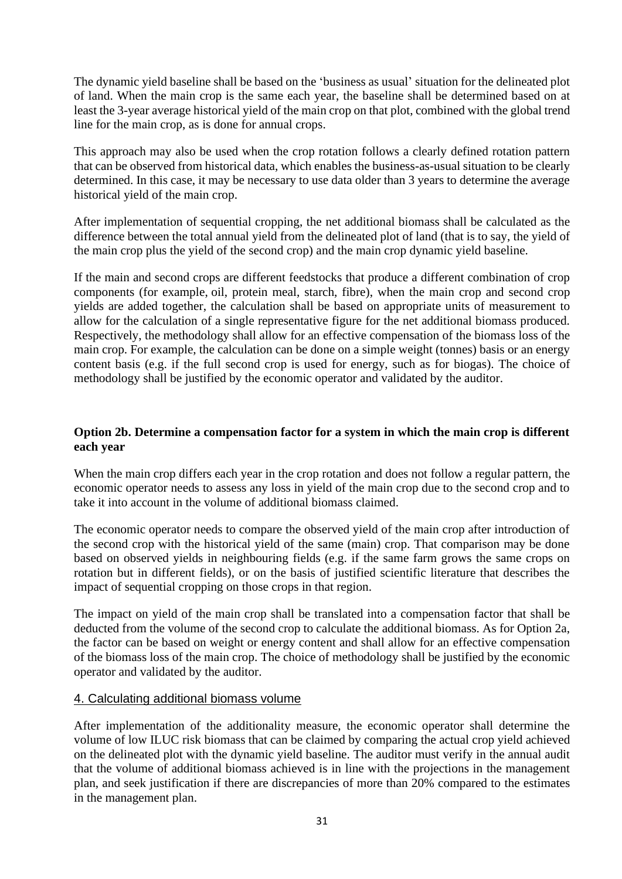The dynamic yield baseline shall be based on the 'business as usual' situation for the delineated plot of land. When the main crop is the same each year, the baseline shall be determined based on at least the 3-year average historical yield of the main crop on that plot, combined with the global trend line for the main crop, as is done for annual crops.

This approach may also be used when the crop rotation follows a clearly defined rotation pattern that can be observed from historical data, which enables the business-as-usual situation to be clearly determined. In this case, it may be necessary to use data older than 3 years to determine the average historical yield of the main crop.

After implementation of sequential cropping, the net additional biomass shall be calculated as the difference between the total annual yield from the delineated plot of land (that is to say, the yield of the main crop plus the yield of the second crop) and the main crop dynamic yield baseline.

If the main and second crops are different feedstocks that produce a different combination of crop components (for example, oil, protein meal, starch, fibre), when the main crop and second crop yields are added together, the calculation shall be based on appropriate units of measurement to allow for the calculation of a single representative figure for the net additional biomass produced. Respectively, the methodology shall allow for an effective compensation of the biomass loss of the main crop. For example, the calculation can be done on a simple weight (tonnes) basis or an energy content basis (e.g. if the full second crop is used for energy, such as for biogas). The choice of methodology shall be justified by the economic operator and validated by the auditor.

### **Option 2b. Determine a compensation factor for a system in which the main crop is different each year**

When the main crop differs each year in the crop rotation and does not follow a regular pattern, the economic operator needs to assess any loss in yield of the main crop due to the second crop and to take it into account in the volume of additional biomass claimed.

The economic operator needs to compare the observed yield of the main crop after introduction of the second crop with the historical yield of the same (main) crop. That comparison may be done based on observed yields in neighbouring fields (e.g. if the same farm grows the same crops on rotation but in different fields), or on the basis of justified scientific literature that describes the impact of sequential cropping on those crops in that region.

The impact on yield of the main crop shall be translated into a compensation factor that shall be deducted from the volume of the second crop to calculate the additional biomass. As for Option 2a, the factor can be based on weight or energy content and shall allow for an effective compensation of the biomass loss of the main crop. The choice of methodology shall be justified by the economic operator and validated by the auditor.

### 4. Calculating additional biomass volume

After implementation of the additionality measure, the economic operator shall determine the volume of low ILUC risk biomass that can be claimed by comparing the actual crop yield achieved on the delineated plot with the dynamic yield baseline. The auditor must verify in the annual audit that the volume of additional biomass achieved is in line with the projections in the management plan, and seek justification if there are discrepancies of more than 20% compared to the estimates in the management plan.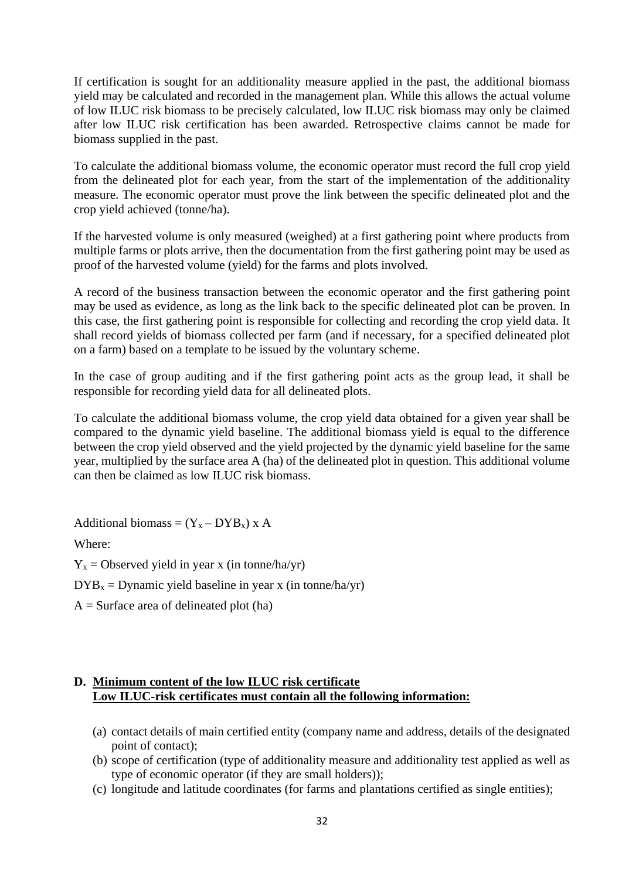If certification is sought for an additionality measure applied in the past, the additional biomass yield may be calculated and recorded in the management plan. While this allows the actual volume of low ILUC risk biomass to be precisely calculated, low ILUC risk biomass may only be claimed after low ILUC risk certification has been awarded. Retrospective claims cannot be made for biomass supplied in the past.

To calculate the additional biomass volume, the economic operator must record the full crop yield from the delineated plot for each year, from the start of the implementation of the additionality measure. The economic operator must prove the link between the specific delineated plot and the crop yield achieved (tonne/ha).

If the harvested volume is only measured (weighed) at a first gathering point where products from multiple farms or plots arrive, then the documentation from the first gathering point may be used as proof of the harvested volume (yield) for the farms and plots involved.

A record of the business transaction between the economic operator and the first gathering point may be used as evidence, as long as the link back to the specific delineated plot can be proven. In this case, the first gathering point is responsible for collecting and recording the crop yield data. It shall record yields of biomass collected per farm (and if necessary, for a specified delineated plot on a farm) based on a template to be issued by the voluntary scheme.

In the case of group auditing and if the first gathering point acts as the group lead, it shall be responsible for recording yield data for all delineated plots.

To calculate the additional biomass volume, the crop yield data obtained for a given year shall be compared to the dynamic yield baseline. The additional biomass yield is equal to the difference between the crop yield observed and the yield projected by the dynamic yield baseline for the same year, multiplied by the surface area A (ha) of the delineated plot in question. This additional volume can then be claimed as low ILUC risk biomass.

Additional biomass =  $(Y_x - DYB_x)$  x A

Where:

 $Y_x$  = Observed yield in year x (in tonne/ha/yr)

 $DYB_x = Dynamic yield baseline in year x (in tonne/ha/yr)$ 

 $A =$ Surface area of delineated plot (ha)

### **D. Minimum content of the low ILUC risk certificate Low ILUC-risk certificates must contain all the following information:**

- (a) contact details of main certified entity (company name and address, details of the designated point of contact);
- (b) scope of certification (type of additionality measure and additionality test applied as well as type of economic operator (if they are small holders));
- (c) longitude and latitude coordinates (for farms and plantations certified as single entities);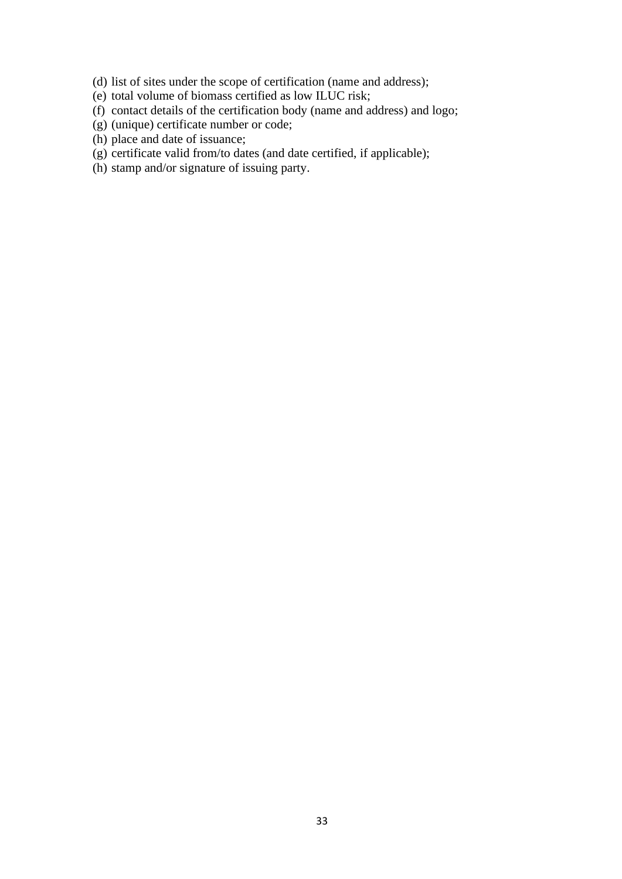- (d) list of sites under the scope of certification (name and address);
- (e) total volume of biomass certified as low ILUC risk;
- (f) contact details of the certification body (name and address) and logo;
- (g) (unique) certificate number or code;
- (h) place and date of issuance;
- $(g)$  certificate valid from/to dates (and date certified, if applicable);
- (h) stamp and/or signature of issuing party.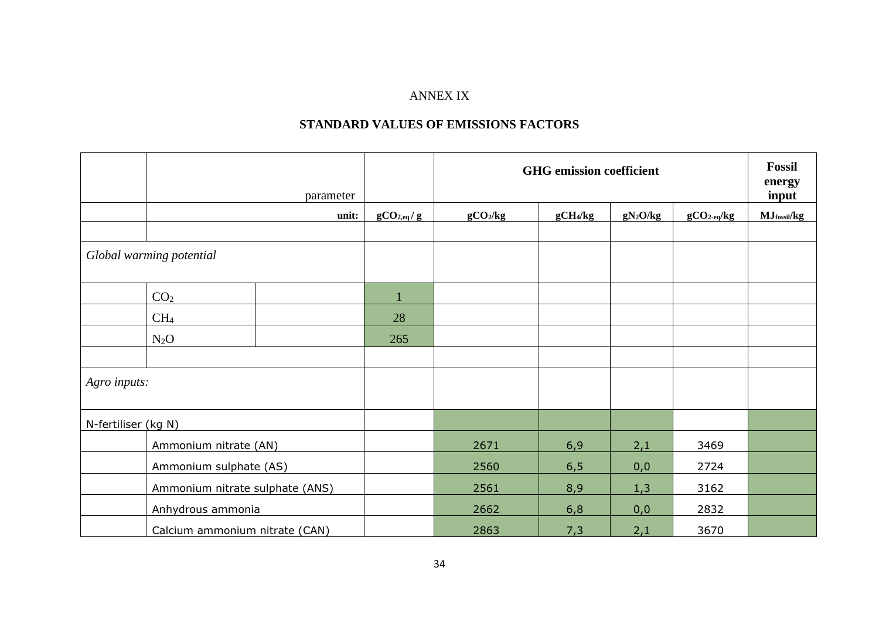## ANNEX IX

## **STANDARD VALUES OF EMISSIONS FACTORS**

|                     |                                 | parameter |                | <b>GHG</b> emission coefficient |                      | <b>Fossil</b><br>energy<br>input |              |             |
|---------------------|---------------------------------|-----------|----------------|---------------------------------|----------------------|----------------------------------|--------------|-------------|
|                     |                                 | unit:     | $gCO_{2,eq}/g$ | gCO <sub>2</sub> /kg            | gCH <sub>4</sub> /kg | $gN_2O/kg$                       | $gCO2-eq/kg$ | MJfossil/kg |
|                     |                                 |           |                |                                 |                      |                                  |              |             |
|                     | Global warming potential        |           |                |                                 |                      |                                  |              |             |
|                     | CO <sub>2</sub>                 |           |                |                                 |                      |                                  |              |             |
|                     | CH <sub>4</sub>                 |           | 28             |                                 |                      |                                  |              |             |
|                     | $N_2O$                          |           | 265            |                                 |                      |                                  |              |             |
|                     |                                 |           |                |                                 |                      |                                  |              |             |
| Agro inputs:        |                                 |           |                |                                 |                      |                                  |              |             |
| N-fertiliser (kg N) |                                 |           |                |                                 |                      |                                  |              |             |
|                     | Ammonium nitrate (AN)           |           |                | 2671                            | 6,9                  | 2,1                              | 3469         |             |
|                     | Ammonium sulphate (AS)          |           |                | 2560                            | 6, 5                 | 0,0                              | 2724         |             |
|                     | Ammonium nitrate sulphate (ANS) |           |                | 2561                            | 8,9                  | 1,3                              | 3162         |             |
|                     | Anhydrous ammonia               |           |                | 2662                            | 6,8                  | 0,0                              | 2832         |             |
|                     | Calcium ammonium nitrate (CAN)  |           |                | 2863                            | 7,3                  | 2,1                              | 3670         |             |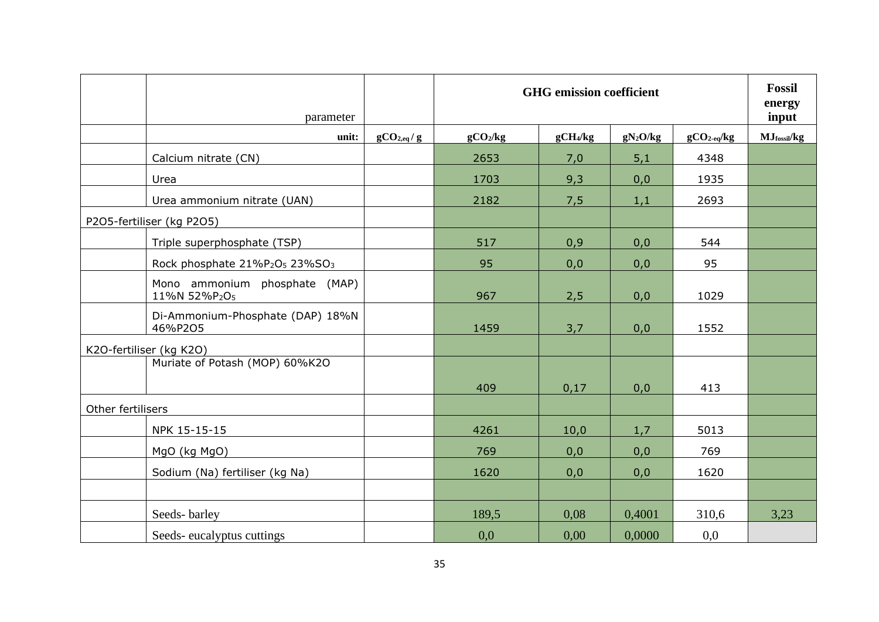|                   | parameter                                                          |                         |                      | <b>GHG</b> emission coefficient |            |                          | <b>Fossil</b><br>energy<br>input |
|-------------------|--------------------------------------------------------------------|-------------------------|----------------------|---------------------------------|------------|--------------------------|----------------------------------|
|                   | unit:                                                              | gCO <sub>2,eq</sub> / g | gCO <sub>2</sub> /kg | gCH <sub>4</sub> /kg            | $gN_2O/kg$ | $gCO2$ <sub>eq</sub> /kg | MJfossil/kg                      |
|                   | Calcium nitrate (CN)                                               |                         | 2653                 | 7,0                             | 5,1        | 4348                     |                                  |
|                   | Urea                                                               |                         | 1703                 | 9,3                             | 0,0        | 1935                     |                                  |
|                   | Urea ammonium nitrate (UAN)                                        |                         | 2182                 | 7,5                             | 1,1        | 2693                     |                                  |
|                   | P2O5-fertiliser (kg P2O5)                                          |                         |                      |                                 |            |                          |                                  |
|                   | Triple superphosphate (TSP)                                        |                         | 517                  | 0,9                             | 0,0        | 544                      |                                  |
|                   | Rock phosphate 21%P <sub>2</sub> O <sub>5</sub> 23%SO <sub>3</sub> |                         | 95                   | 0,0                             | 0,0        | 95                       |                                  |
|                   | Mono ammonium phosphate (MAP)<br>11%N 52%P2O5                      |                         | 967                  | 2,5                             | 0,0        | 1029                     |                                  |
|                   | Di-Ammonium-Phosphate (DAP) 18%N<br>46%P2O5                        |                         | 1459                 | 3,7                             | 0,0        | 1552                     |                                  |
|                   | K2O-fertiliser (kg K2O)                                            |                         |                      |                                 |            |                          |                                  |
|                   | Muriate of Potash (MOP) 60%K2O                                     |                         | 409                  | 0,17                            | 0,0        | 413                      |                                  |
| Other fertilisers |                                                                    |                         |                      |                                 |            |                          |                                  |
|                   | NPK 15-15-15                                                       |                         | 4261                 | 10,0                            | 1,7        | 5013                     |                                  |
|                   | MgO (kg MgO)                                                       |                         | 769                  | 0,0                             | 0,0        | 769                      |                                  |
|                   | Sodium (Na) fertiliser (kg Na)                                     |                         | 1620                 | 0,0                             | 0,0        | 1620                     |                                  |
|                   |                                                                    |                         |                      |                                 |            |                          |                                  |
|                   | Seeds-barley                                                       |                         | 189.5                | 0,08                            | 0,4001     | 310,6                    | 3,23                             |
|                   | Seeds-eucalyptus cuttings                                          |                         | 0.0                  | 0,00                            | 0.0000     | 0,0                      |                                  |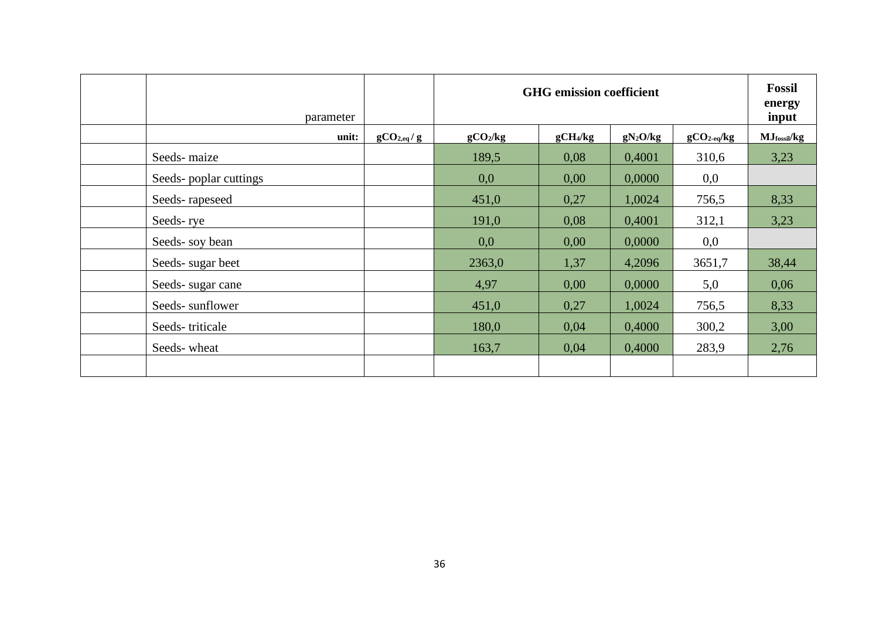|                       | parameter |                |                      | <b>GHG</b> emission coefficient |            |                          | <b>Fossil</b><br>energy<br>input |
|-----------------------|-----------|----------------|----------------------|---------------------------------|------------|--------------------------|----------------------------------|
|                       | unit:     | $gCO_{2,eq}/g$ | gCO <sub>2</sub> /kg | gCH <sub>4</sub> /kg            | $gN_2O/kg$ | $gCO2$ <sub>eq</sub> /kg | $MJ$ fossil/ $kg$                |
| Seeds-maize           |           |                | 189,5                | 0,08                            | 0,4001     | 310,6                    | 3,23                             |
| Seeds-poplar cuttings |           |                | 0,0                  | 0,00                            | 0,0000     | 0,0                      |                                  |
| Seeds-rapeseed        |           |                | 451,0                | 0,27                            | 1,0024     | 756,5                    | 8,33                             |
| Seeds-rye             |           |                | 191,0                | 0,08                            | 0,4001     | 312,1                    | 3,23                             |
| Seeds-soy bean        |           |                | 0,0                  | 0,00                            | 0,0000     | 0,0                      |                                  |
| Seeds-sugar beet      |           |                | 2363,0               | 1,37                            | 4,2096     | 3651,7                   | 38,44                            |
| Seeds-sugar cane      |           |                | 4,97                 | 0,00                            | 0,0000     | 5,0                      | 0,06                             |
| Seeds-sunflower       |           |                | 451,0                | 0,27                            | 1,0024     | 756,5                    | 8,33                             |
| Seeds-triticale       |           |                | 180,0                | 0,04                            | 0,4000     | 300,2                    | 3,00                             |
| Seeds-wheat           |           |                | 163,7                | 0,04                            | 0,4000     | 283,9                    | 2,76                             |
|                       |           |                |                      |                                 |            |                          |                                  |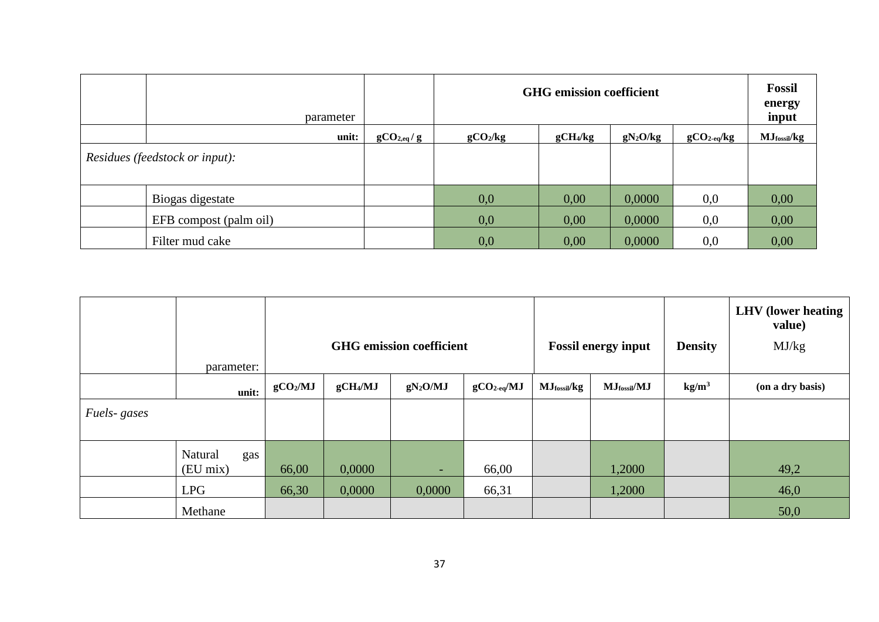| parameter                             |                |                      | <b>GHG</b> emission coefficient                    |        |     | Fossil<br>energy<br>input |  |  |  |  |  |
|---------------------------------------|----------------|----------------------|----------------------------------------------------|--------|-----|---------------------------|--|--|--|--|--|
| unit:                                 | $gCO_{2,eq}/g$ | gCO <sub>2</sub> /kg | gCH <sub>4</sub> /kg<br>$gN_2O/kg$<br>$gCO2-eq/kg$ |        |     |                           |  |  |  |  |  |
| <i>Residues (feedstock or input):</i> |                |                      |                                                    |        |     |                           |  |  |  |  |  |
| Biogas digestate                      |                | 0,0                  | 0,00                                               | 0,0000 | 0,0 | 0,00                      |  |  |  |  |  |
| EFB compost (palm oil)                |                | 0,0                  | 0,00                                               | 0,0000 | 0,0 | 0,00                      |  |  |  |  |  |
| Filter mud cake                       |                | 0,0                  | 0,00                                               | 0,0000 | 0,0 | 0,00                      |  |  |  |  |  |

|             |                            |                      |                      | <b>GHG</b> emission coefficient |                         |                               | <b>Fossil energy input</b>    | <b>Density</b>    | <b>LHV</b> (lower heating<br>value)<br>MJ/kg |
|-------------|----------------------------|----------------------|----------------------|---------------------------------|-------------------------|-------------------------------|-------------------------------|-------------------|----------------------------------------------|
|             | parameter:                 |                      |                      |                                 |                         |                               |                               |                   |                                              |
|             | unit:                      | gCO <sub>2</sub> /MJ | gCH <sub>4</sub> /MJ | $gN_2O/MJ$                      | $gCO_{2 \text{-eq}}/MJ$ | $MJ$ <sub>fossil</sub> / $kg$ | $MJ$ <sub>fossil</sub> / $MJ$ | kg/m <sup>3</sup> | (on a dry basis)                             |
| Fuels-gases |                            |                      |                      |                                 |                         |                               |                               |                   |                                              |
|             | Natural<br>gas<br>(EU mix) | 66,00                | 0,0000               | ÷                               | 66,00                   |                               | 1,2000                        |                   | 49,2                                         |
|             | <b>LPG</b>                 | 66,30                | 0,0000               | 0,0000                          | 66,31                   |                               | 1,2000                        |                   | 46,0                                         |
|             | Methane                    |                      |                      |                                 |                         |                               |                               |                   | 50,0                                         |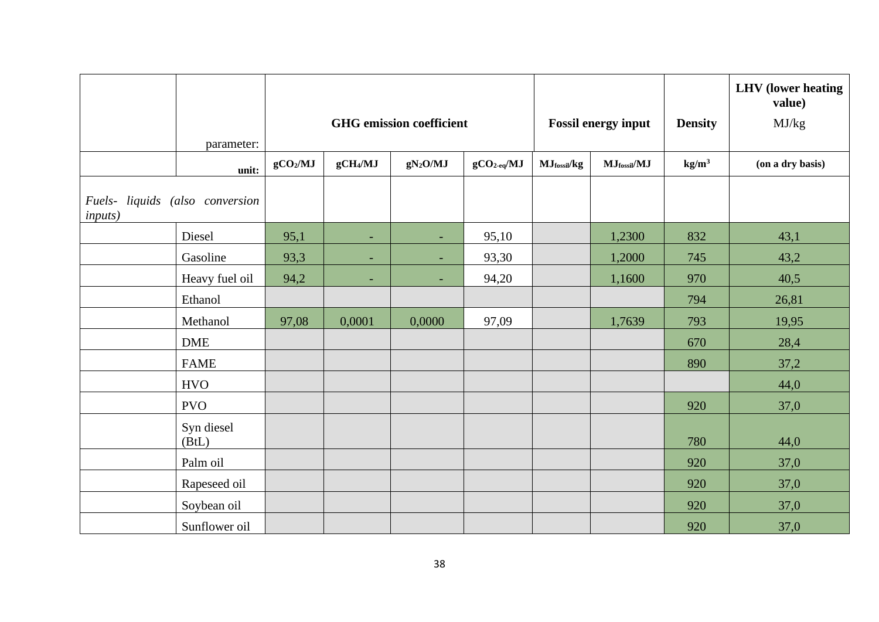|                                                    |                     |                      |                          |                                 |              |             |                            |                   | <b>LHV</b> (lower heating<br>value) |
|----------------------------------------------------|---------------------|----------------------|--------------------------|---------------------------------|--------------|-------------|----------------------------|-------------------|-------------------------------------|
|                                                    |                     |                      |                          | <b>GHG</b> emission coefficient |              |             | <b>Fossil energy input</b> | <b>Density</b>    | MJ/kg                               |
|                                                    | parameter:          |                      |                          |                                 |              |             |                            |                   |                                     |
|                                                    | unit:               | gCO <sub>2</sub> /MJ | gCH <sub>4</sub> /MJ     | $gN_2O/MJ$                      | $gCO2-eq/MJ$ | MJfossil/kg | $MJ$ fossil/ $MJ$          | kg/m <sup>3</sup> | (on a dry basis)                    |
| Fuels- liquids (also conversion<br><i>inputs</i> ) |                     |                      |                          |                                 |              |             |                            |                   |                                     |
|                                                    | Diesel              | 95,1                 | ÷                        | ٠                               | 95,10        |             | 1,2300                     | 832               | 43,1                                |
|                                                    | Gasoline            | 93,3                 | $\overline{\phantom{a}}$ | ٠                               | 93,30        |             | 1,2000                     | 745               | 43,2                                |
|                                                    | Heavy fuel oil      | 94,2                 | $\overline{\phantom{a}}$ |                                 | 94,20        |             | 1,1600                     | 970               | 40,5                                |
|                                                    | Ethanol             |                      |                          |                                 |              |             |                            | 794               | 26,81                               |
|                                                    | Methanol            | 97,08                | 0,0001                   | 0,0000                          | 97,09        |             | 1,7639                     | 793               | 19,95                               |
|                                                    | <b>DME</b>          |                      |                          |                                 |              |             |                            | 670               | 28,4                                |
|                                                    | <b>FAME</b>         |                      |                          |                                 |              |             |                            | 890               | 37,2                                |
|                                                    | <b>HVO</b>          |                      |                          |                                 |              |             |                            |                   | 44,0                                |
|                                                    | <b>PVO</b>          |                      |                          |                                 |              |             |                            | 920               | 37,0                                |
|                                                    | Syn diesel<br>(BtL) |                      |                          |                                 |              |             |                            | 780               | 44,0                                |
|                                                    | Palm oil            |                      |                          |                                 |              |             |                            | 920               | 37,0                                |
|                                                    | Rapeseed oil        |                      |                          |                                 |              |             |                            | 920               | 37,0                                |
|                                                    | Soybean oil         |                      |                          |                                 |              |             |                            | 920               | 37,0                                |
|                                                    | Sunflower oil       |                      |                          |                                 |              |             |                            | 920               | 37,0                                |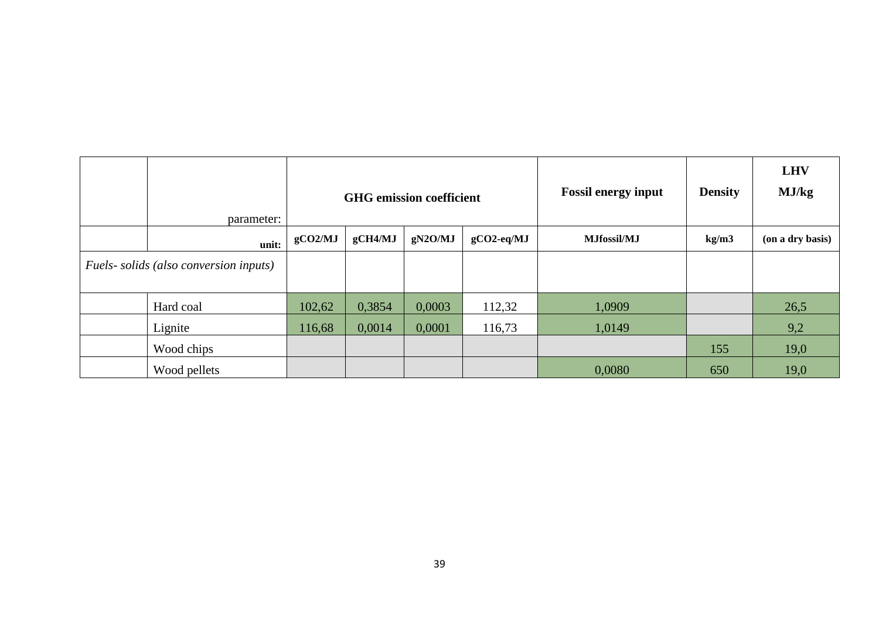| parameter:                             |         |         | <b>GHG</b> emission coefficient |               | <b>Fossil energy input</b> | <b>Density</b> | <b>LHV</b><br>MJ/kg |
|----------------------------------------|---------|---------|---------------------------------|---------------|----------------------------|----------------|---------------------|
| unit:                                  | gCO2/MJ | gCH4/MJ | gN2O/MJ                         | $gCO2$ -eq/MJ | <b>MJfossil/MJ</b>         |                | (on a dry basis)    |
| Fuels- solids (also conversion inputs) |         |         |                                 |               |                            |                |                     |
| Hard coal                              | 102,62  | 0,3854  | 0,0003                          | 112,32        | 1,0909                     |                | 26,5                |
| Lignite                                | 116,68  | 0,0014  | 0,0001                          | 116,73        | 1,0149                     |                | 9,2                 |
| Wood chips                             |         |         |                                 |               |                            | 155            | 19,0                |
| Wood pellets                           |         |         |                                 |               | 0,0080                     | 650            | 19,0                |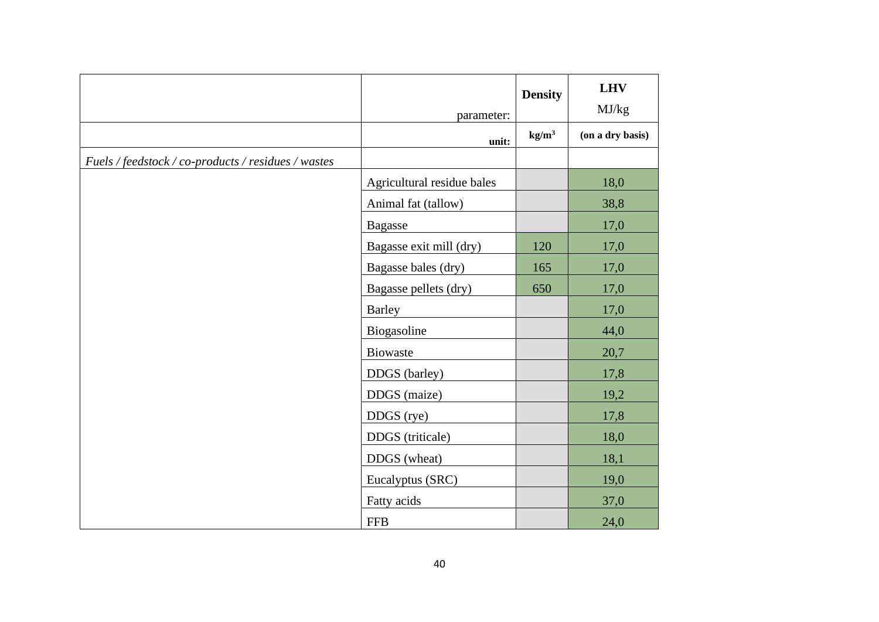|                                                     | parameter:                 | <b>Density</b>    | <b>LHV</b><br>MJ/kg |
|-----------------------------------------------------|----------------------------|-------------------|---------------------|
|                                                     | unit:                      | kg/m <sup>3</sup> | (on a dry basis)    |
| Fuels / feedstock / co-products / residues / wastes |                            |                   |                     |
|                                                     | Agricultural residue bales |                   | 18,0                |
|                                                     | Animal fat (tallow)        |                   | 38,8                |
|                                                     | <b>Bagasse</b>             |                   | 17,0                |
|                                                     | Bagasse exit mill (dry)    | 120               | 17,0                |
|                                                     | Bagasse bales (dry)        | 165               | 17,0                |
|                                                     | Bagasse pellets (dry)      | 650               | 17,0                |
|                                                     | <b>Barley</b>              |                   | 17,0                |
|                                                     | Biogasoline                |                   | 44,0                |
|                                                     | <b>Biowaste</b>            |                   | 20,7                |
|                                                     | DDGS (barley)              |                   | 17,8                |
|                                                     | DDGS (maize)               |                   | 19,2                |
|                                                     | DDGS (rye)                 |                   | 17,8                |
|                                                     | DDGS (triticale)           |                   | 18,0                |
|                                                     | DDGS (wheat)               |                   | 18,1                |
|                                                     | Eucalyptus (SRC)           |                   | 19,0                |
|                                                     | Fatty acids                |                   | 37,0                |
|                                                     | <b>FFB</b>                 |                   | 24,0                |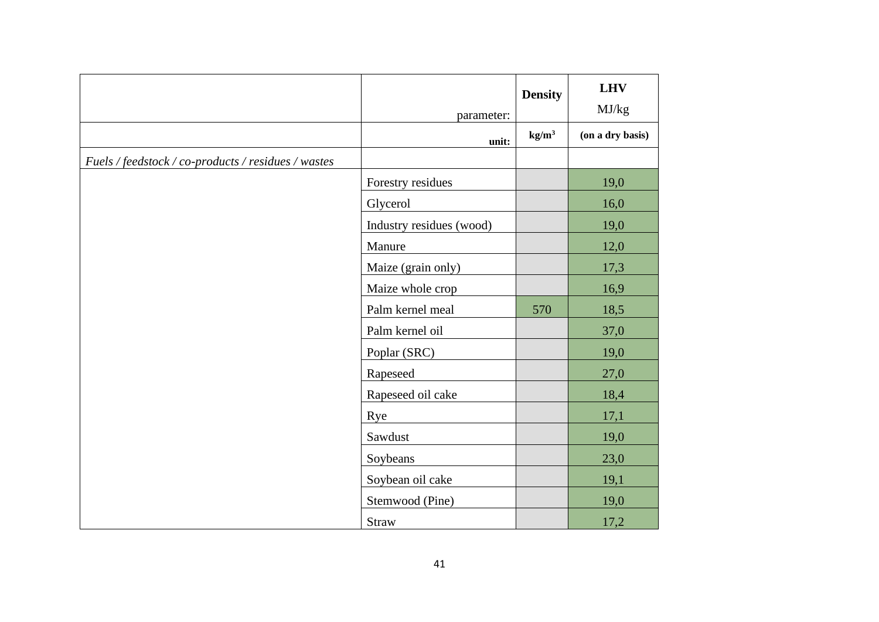|                                                     | parameter:               | <b>Density</b>  | <b>LHV</b><br>MJ/kg |
|-----------------------------------------------------|--------------------------|-----------------|---------------------|
|                                                     | unit:                    | $\text{kg/m}^3$ | (on a dry basis)    |
| Fuels / feedstock / co-products / residues / wastes |                          |                 |                     |
|                                                     | Forestry residues        |                 | 19,0                |
|                                                     | Glycerol                 |                 | 16,0                |
|                                                     | Industry residues (wood) |                 | 19,0                |
|                                                     | Manure                   |                 | 12,0                |
|                                                     | Maize (grain only)       |                 | 17,3                |
|                                                     | Maize whole crop         |                 | 16,9                |
|                                                     | Palm kernel meal         | 570             | 18,5                |
|                                                     | Palm kernel oil          |                 | 37,0                |
|                                                     | Poplar (SRC)             |                 | 19,0                |
|                                                     | Rapeseed                 |                 | 27,0                |
|                                                     | Rapeseed oil cake        |                 | 18,4                |
|                                                     | Rye                      |                 | 17,1                |
|                                                     | Sawdust                  |                 | 19,0                |
|                                                     | Soybeans                 |                 | 23,0                |
|                                                     | Soybean oil cake         |                 | 19,1                |
|                                                     | Stemwood (Pine)          |                 | 19,0                |
|                                                     | Straw                    |                 | 17,2                |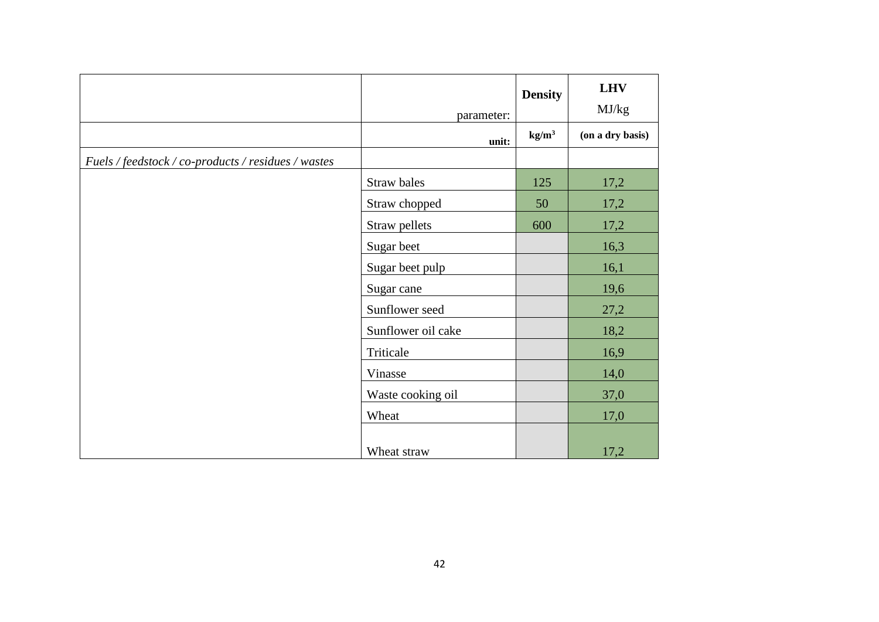|                                                     | parameter:         | <b>Density</b>  | <b>LHV</b><br>MJ/kg |
|-----------------------------------------------------|--------------------|-----------------|---------------------|
|                                                     | unit:              | $\text{kg/m}^3$ | (on a dry basis)    |
| Fuels / feedstock / co-products / residues / wastes |                    |                 |                     |
|                                                     | Straw bales        | 125             | 17,2                |
|                                                     | Straw chopped      | 50              | 17,2                |
|                                                     | Straw pellets      | 600             | 17,2                |
|                                                     | Sugar beet         |                 | 16,3                |
|                                                     | Sugar beet pulp    |                 | 16,1                |
|                                                     | Sugar cane         |                 | 19,6                |
|                                                     | Sunflower seed     |                 | 27,2                |
|                                                     | Sunflower oil cake |                 | 18,2                |
|                                                     | Triticale          |                 | 16,9                |
|                                                     | Vinasse            |                 | 14,0                |
|                                                     | Waste cooking oil  |                 | 37,0                |
|                                                     | Wheat              |                 | 17,0                |
|                                                     |                    |                 |                     |
|                                                     | Wheat straw        |                 | 17,2                |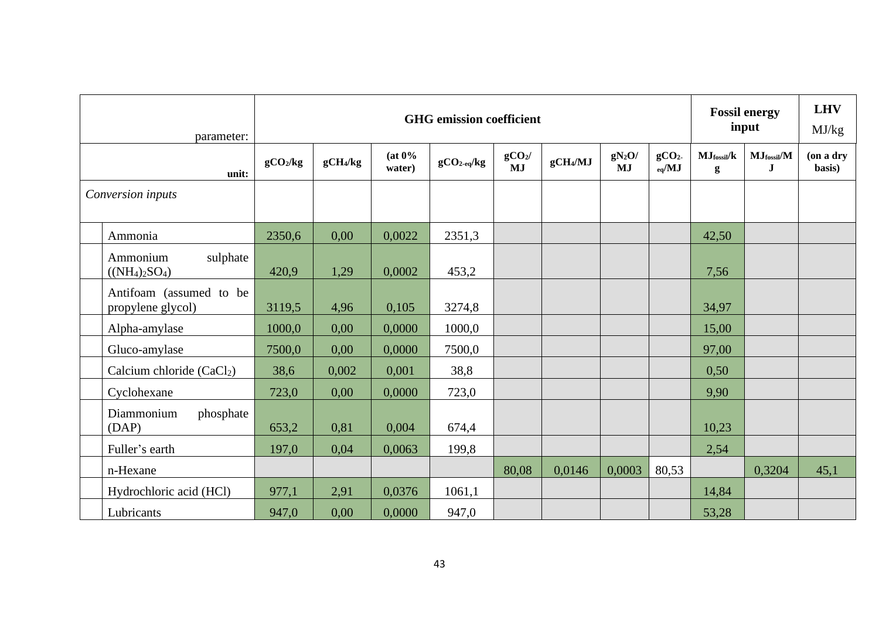| parameter:                                   |                      |                      |                  | <b>GHG</b> emission coefficient |                                 |                      |                       |                                        |                                      | <b>Fossil energy</b><br>input | <b>LHV</b><br>MJ/kg |
|----------------------------------------------|----------------------|----------------------|------------------|---------------------------------|---------------------------------|----------------------|-----------------------|----------------------------------------|--------------------------------------|-------------------------------|---------------------|
| unit:                                        | gCO <sub>2</sub> /kg | gCH <sub>4</sub> /kg | (at 0%<br>water) | $gCO_{2\text{-}eq}/kg$          | gCO <sub>2</sub> /<br><b>MJ</b> | gCH <sub>4</sub> /MJ | $gN_2O/$<br><b>MJ</b> | gCO <sub>2</sub><br>$_{\rm eq}/\rm MJ$ | $MJ$ fossil/ $k$<br>$\boldsymbol{g}$ | $MJ$ fossil/ $M$<br>$\bf J$   | (on a dry<br>basis) |
| Conversion inputs                            |                      |                      |                  |                                 |                                 |                      |                       |                                        |                                      |                               |                     |
| Ammonia                                      | 2350,6               | 0,00                 | 0,0022           | 2351,3                          |                                 |                      |                       |                                        | 42,50                                |                               |                     |
| sulphate<br>Ammonium<br>$((NH_4)_2SO_4)$     | 420,9                | 1,29                 | 0,0002           | 453,2                           |                                 |                      |                       |                                        | 7,56                                 |                               |                     |
| Antifoam (assumed to be<br>propylene glycol) | 3119,5               | 4,96                 | 0,105            | 3274,8                          |                                 |                      |                       |                                        | 34,97                                |                               |                     |
| Alpha-amylase                                | 1000,0               | 0,00                 | 0,0000           | 1000,0                          |                                 |                      |                       |                                        | 15,00                                |                               |                     |
| Gluco-amylase                                | 7500,0               | 0,00                 | 0,0000           | 7500,0                          |                                 |                      |                       |                                        | 97,00                                |                               |                     |
| Calcium chloride (CaCl <sub>2</sub> )        | 38,6                 | 0,002                | 0,001            | 38,8                            |                                 |                      |                       |                                        | 0,50                                 |                               |                     |
| Cyclohexane                                  | 723,0                | 0,00                 | 0,0000           | 723,0                           |                                 |                      |                       |                                        | 9,90                                 |                               |                     |
| Diammonium<br>phosphate<br>(DAP)             | 653,2                | 0,81                 | 0,004            | 674,4                           |                                 |                      |                       |                                        | 10,23                                |                               |                     |
| Fuller's earth                               | 197,0                | 0,04                 | 0,0063           | 199,8                           |                                 |                      |                       |                                        | 2,54                                 |                               |                     |
| n-Hexane                                     |                      |                      |                  |                                 | 80,08                           | 0,0146               | 0,0003                | 80,53                                  |                                      | 0,3204                        | 45,1                |
| Hydrochloric acid (HCl)                      | 977,1                | 2,91                 | 0,0376           | 1061,1                          |                                 |                      |                       |                                        | 14,84                                |                               |                     |
| Lubricants                                   | 947,0                | 0,00                 | 0,0000           | 947,0                           |                                 |                      |                       |                                        | 53,28                                |                               |                     |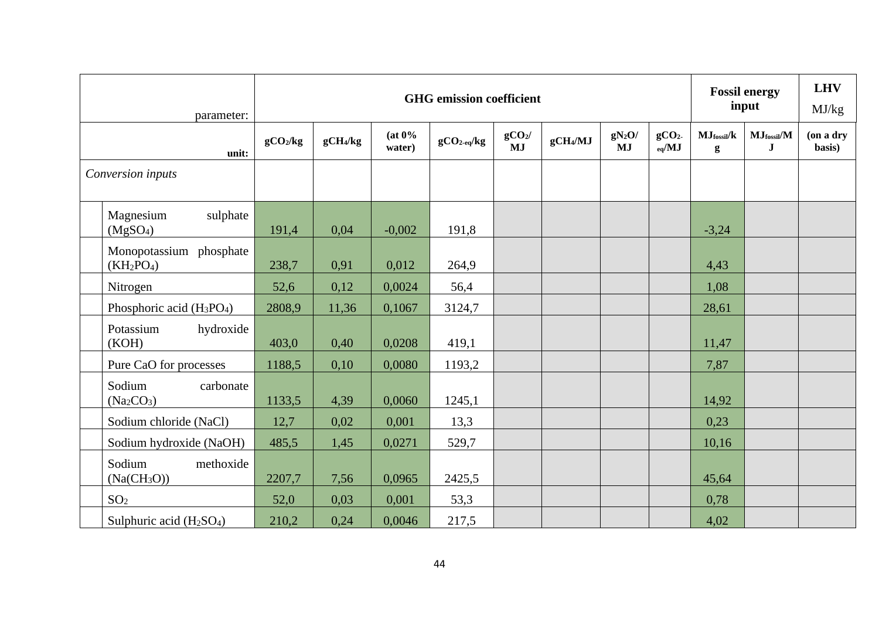| parameter:                                                |                      |                      |                  | <b>GHG</b> emission coefficient |                               |                      |                       |                                        |                       | <b>Fossil energy</b><br>input                        | <b>LHV</b><br>MJ/kg |
|-----------------------------------------------------------|----------------------|----------------------|------------------|---------------------------------|-------------------------------|----------------------|-----------------------|----------------------------------------|-----------------------|------------------------------------------------------|---------------------|
| unit:                                                     | gCO <sub>2</sub> /kg | gCH <sub>4</sub> /kg | (at 0%<br>water) | $gCO2-eq/kg$                    | gCO <sub>2</sub><br><b>MJ</b> | gCH <sub>4</sub> /MJ | $gN_2O/$<br><b>MJ</b> | gCO <sub>2</sub><br>$_{\rm eq}/\rm MJ$ | $MJ$ fossil/ $k$<br>g | $\mathbf{MJ}_{\text{fossil}}/\mathbf{M}$<br>$\bf{J}$ | (on a dry<br>basis) |
| Conversion inputs                                         |                      |                      |                  |                                 |                               |                      |                       |                                        |                       |                                                      |                     |
| sulphate<br>Magnesium<br>(MgSO <sub>4</sub> )             | 191,4                | 0,04                 | $-0,002$         | 191,8                           |                               |                      |                       |                                        | $-3,24$               |                                                      |                     |
| Monopotassium phosphate<br>$(KH_2PO_4)$                   | 238,7                | 0,91                 | 0,012            | 264,9                           |                               |                      |                       |                                        | 4,43                  |                                                      |                     |
| Nitrogen                                                  | 52,6                 | 0,12                 | 0,0024           | 56,4                            |                               |                      |                       |                                        | 1,08                  |                                                      |                     |
| Phosphoric acid $(H_3PO_4)$                               | 2808,9               | 11,36                | 0,1067           | 3124,7                          |                               |                      |                       |                                        | 28,61                 |                                                      |                     |
| Potassium<br>hydroxide<br>(KOH)                           | 403,0                | 0,40                 | 0,0208           | 419,1                           |                               |                      |                       |                                        | 11,47                 |                                                      |                     |
| Pure CaO for processes                                    | 1188,5               | 0,10                 | 0,0080           | 1193,2                          |                               |                      |                       |                                        | 7,87                  |                                                      |                     |
| Sodium<br>carbonate<br>(Na <sub>2</sub> CO <sub>3</sub> ) | 1133,5               | 4,39                 | 0,0060           | 1245,1                          |                               |                      |                       |                                        | 14,92                 |                                                      |                     |
| Sodium chloride (NaCl)                                    | 12,7                 | 0,02                 | 0,001            | 13,3                            |                               |                      |                       |                                        | 0,23                  |                                                      |                     |
| Sodium hydroxide (NaOH)                                   | 485,5                | 1,45                 | 0,0271           | 529,7                           |                               |                      |                       |                                        | 10,16                 |                                                      |                     |
| Sodium<br>methoxide<br>(Na(CH <sub>3</sub> O))            | 2207,7               | 7,56                 | 0,0965           | 2425,5                          |                               |                      |                       |                                        | 45,64                 |                                                      |                     |
| SO <sub>2</sub>                                           | 52,0                 | 0,03                 | 0,001            | 53,3                            |                               |                      |                       |                                        | 0,78                  |                                                      |                     |
| Sulphuric acid $(H2SO4)$                                  | 210,2                | 0,24                 | 0,0046           | 217,5                           |                               |                      |                       |                                        | 4,02                  |                                                      |                     |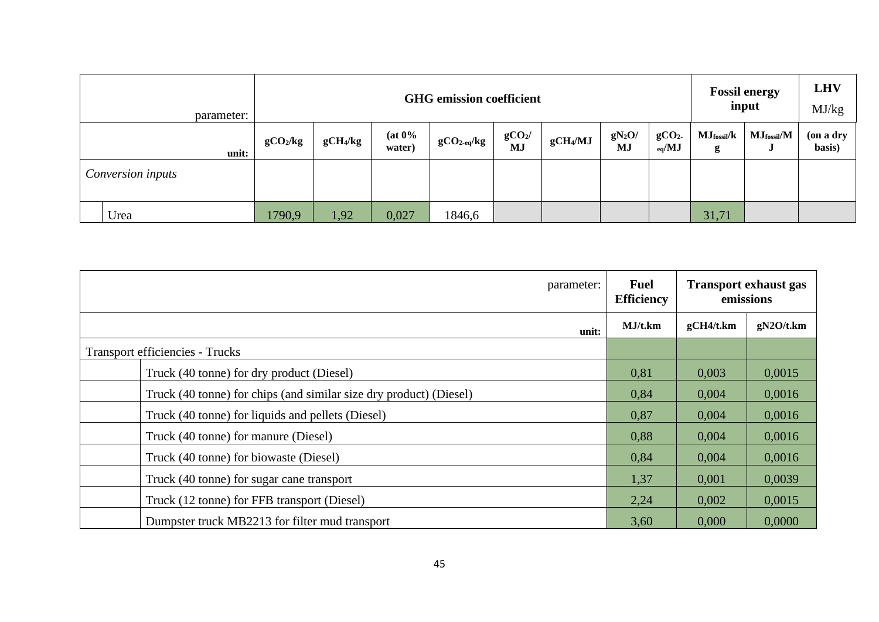| parameter:        |                      |                                                                                                                                                                                                 |       | <b>GHG</b> emission coefficient |  |  |  |  |       | <b>Fossil energy</b><br>input | <b>LHV</b><br>MJ/kg |
|-------------------|----------------------|-------------------------------------------------------------------------------------------------------------------------------------------------------------------------------------------------|-------|---------------------------------|--|--|--|--|-------|-------------------------------|---------------------|
| unit:             | gCO <sub>2</sub> /kg | $(at 0\%$<br>$gCO2$ /<br>$gN_2O/$<br>gCO <sub>2</sub><br>$MJ$ fossil/ $k$<br>gCH <sub>4</sub> /MJ<br>gCH <sub>4</sub> /kg<br>$gCO2-eq/kg$<br>MJ<br><b>MJ</b><br>$_{eq}$ /MJ<br>water)<br>g<br>J |       |                                 |  |  |  |  |       | MJ <sub>fossil</sub> /M       | (on a dry<br>basis) |
| Conversion inputs |                      |                                                                                                                                                                                                 |       |                                 |  |  |  |  |       |                               |                     |
| Urea              | 1790,9               | 1,92                                                                                                                                                                                            | 0,027 | 1846,6                          |  |  |  |  | 31,71 |                               |                     |

| parameter:                                                         | <b>Fuel</b><br><b>Efficiency</b> |           | <b>Transport exhaust gas</b><br>emissions |
|--------------------------------------------------------------------|----------------------------------|-----------|-------------------------------------------|
| unit:                                                              | MJ/t.km                          | gCH4/t.km | gN2O/t.km                                 |
| <b>Transport efficiencies - Trucks</b>                             |                                  |           |                                           |
| Truck (40 tonne) for dry product (Diesel)                          | 0,81                             | 0,003     | 0,0015                                    |
| Truck (40 tonne) for chips (and similar size dry product) (Diesel) | 0,84                             | 0,004     | 0,0016                                    |
| Truck (40 tonne) for liquids and pellets (Diesel)                  | 0,87                             | 0,004     | 0,0016                                    |
| Truck (40 tonne) for manure (Diesel)                               | 0,88                             | 0,004     | 0,0016                                    |
| Truck (40 tonne) for biowaste (Diesel)                             | 0,84                             | 0,004     | 0,0016                                    |
| Truck (40 tonne) for sugar cane transport                          | 1,37                             | 0,001     | 0,0039                                    |
| Truck (12 tonne) for FFB transport (Diesel)                        | 2,24                             | 0,002     | 0,0015                                    |
| Dumpster truck MB2213 for filter mud transport                     | 3,60                             | 0.000     | 0.0000                                    |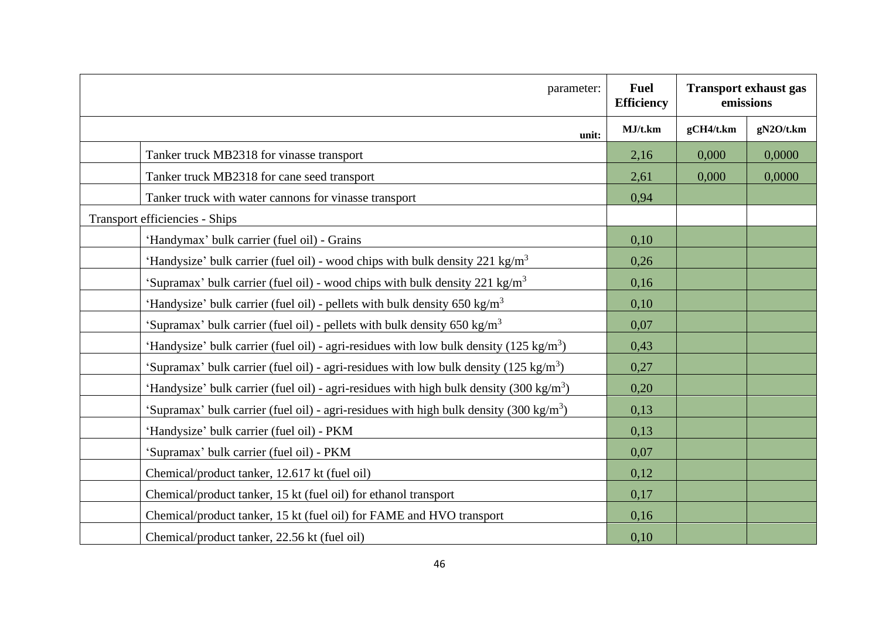| parameter:                                                                                          | <b>Fuel</b><br><b>Efficiency</b> | <b>Transport exhaust gas</b><br>emissions |           |
|-----------------------------------------------------------------------------------------------------|----------------------------------|-------------------------------------------|-----------|
| unit:                                                                                               | MJ/t.km                          | gCH4/t.km                                 | gN2O/t.km |
| Tanker truck MB2318 for vinasse transport                                                           | 2,16                             | 0,000                                     | 0,0000    |
| Tanker truck MB2318 for cane seed transport                                                         | 2,61                             | 0,000                                     | 0,0000    |
| Tanker truck with water cannons for vinasse transport                                               | 0.94                             |                                           |           |
| <b>Transport efficiencies - Ships</b>                                                               |                                  |                                           |           |
| 'Handymax' bulk carrier (fuel oil) - Grains                                                         | 0,10                             |                                           |           |
| 'Handysize' bulk carrier (fuel oil) - wood chips with bulk density 221 kg/m <sup>3</sup>            | 0.26                             |                                           |           |
| 'Supramax' bulk carrier (fuel oil) - wood chips with bulk density 221 kg/m <sup>3</sup>             | 0,16                             |                                           |           |
| 'Handysize' bulk carrier (fuel oil) - pellets with bulk density $650 \text{ kg/m}^3$                | 0,10                             |                                           |           |
| 'Supramax' bulk carrier (fuel oil) - pellets with bulk density $650 \text{ kg/m}^3$                 | 0,07                             |                                           |           |
| 'Handysize' bulk carrier (fuel oil) - agri-residues with low bulk density (125 kg/m <sup>3</sup> )  | 0,43                             |                                           |           |
| 'Supramax' bulk carrier (fuel oil) - agri-residues with low bulk density $(125 \text{ kg/m}^3)$     | 0,27                             |                                           |           |
| 'Handysize' bulk carrier (fuel oil) - agri-residues with high bulk density (300 kg/m <sup>3</sup> ) | 0,20                             |                                           |           |
| 'Supramax' bulk carrier (fuel oil) - agri-residues with high bulk density (300 kg/m <sup>3</sup> )  | 0,13                             |                                           |           |
| 'Handysize' bulk carrier (fuel oil) - PKM                                                           | 0,13                             |                                           |           |
| 'Supramax' bulk carrier (fuel oil) - PKM                                                            | 0,07                             |                                           |           |
| Chemical/product tanker, 12.617 kt (fuel oil)                                                       | 0,12                             |                                           |           |
| Chemical/product tanker, 15 kt (fuel oil) for ethanol transport                                     |                                  |                                           |           |
| Chemical/product tanker, 15 kt (fuel oil) for FAME and HVO transport                                | 0,16                             |                                           |           |
| Chemical/product tanker, 22.56 kt (fuel oil)                                                        | 0,10                             |                                           |           |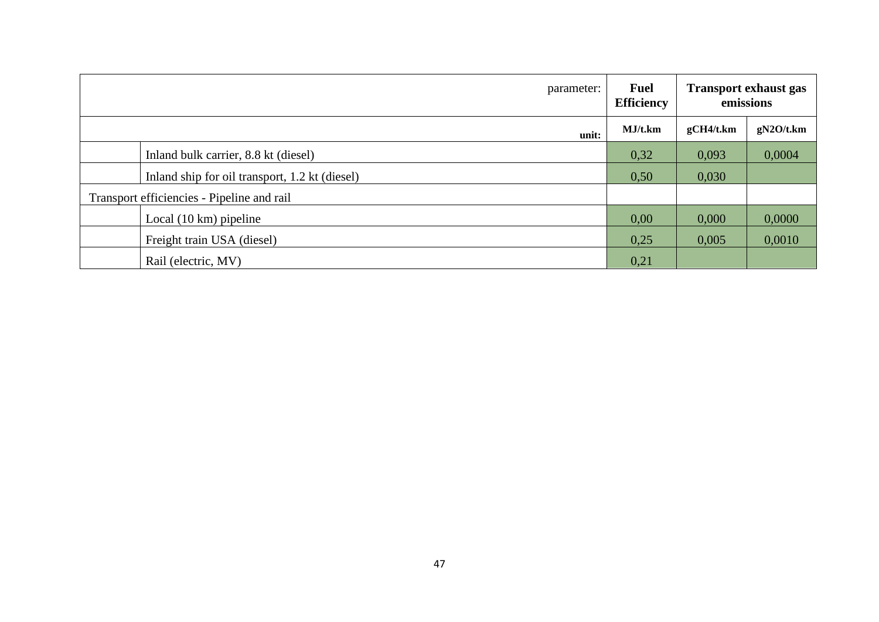| parameter:                                     | <b>Fuel</b><br><b>Efficiency</b> |           | <b>Transport exhaust gas</b><br>emissions |  |
|------------------------------------------------|----------------------------------|-----------|-------------------------------------------|--|
| unit:                                          | MJ/t.km                          | gCH4/t.km | gN2O/t.km                                 |  |
| Inland bulk carrier, 8.8 kt (diesel)           | 0,32                             | 0,093     | 0,0004                                    |  |
| Inland ship for oil transport, 1.2 kt (diesel) | 0,50                             | 0,030     |                                           |  |
| Transport efficiencies - Pipeline and rail     |                                  |           |                                           |  |
| Local $(10 \text{ km})$ pipeline               | 0,00                             | 0,000     | 0,0000                                    |  |
| Freight train USA (diesel)                     | 0,25                             | 0,005     | 0,0010                                    |  |
| Rail (electric, MV)                            | 0,21                             |           |                                           |  |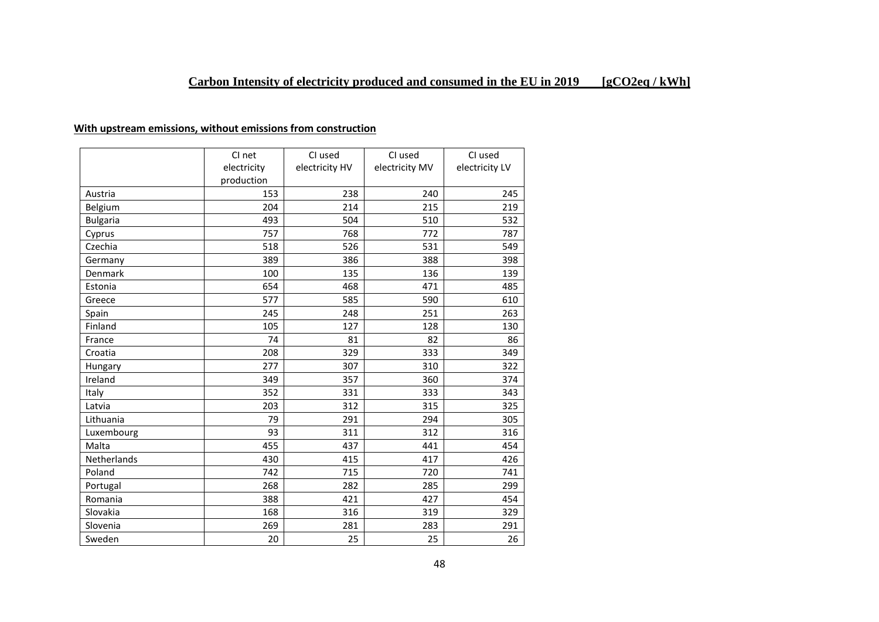### **With upstream emissions, without emissions from construction**

|                 | CI net      | CI used        | CI used        | CI used        |
|-----------------|-------------|----------------|----------------|----------------|
|                 | electricity | electricity HV | electricity MV | electricity LV |
|                 | production  |                |                |                |
| Austria         | 153         | 238            | 240            | 245            |
| Belgium         | 204         | 214            | 215            | 219            |
| <b>Bulgaria</b> | 493         | 504            | 510            | 532            |
| Cyprus          | 757         | 768            | 772            | 787            |
| Czechia         | 518         | 526            | 531            | 549            |
| Germany         | 389         | 386            | 388            | 398            |
| Denmark         | 100         | 135            | 136            | 139            |
| Estonia         | 654         | 468            | 471            | 485            |
| Greece          | 577         | 585            | 590            | 610            |
| Spain           | 245         | 248            | 251            | 263            |
| Finland         | 105         | 127            | 128            | 130            |
| France          | 74          | 81             | 82             | 86             |
| Croatia         | 208         | 329            | 333            | 349            |
| Hungary         | 277         | 307            | 310            | 322            |
| Ireland         | 349         | 357            | 360            | 374            |
| Italy           | 352         | 331            | 333            | 343            |
| Latvia          | 203         | 312            | 315            | 325            |
| Lithuania       | 79          | 291            | 294            | 305            |
| Luxembourg      | 93          | 311            | 312            | 316            |
| Malta           | 455         | 437            | 441            | 454            |
| Netherlands     | 430         | 415            | 417            | 426            |
| Poland          | 742         | 715            | 720            | 741            |
| Portugal        | 268         | 282            | 285            | 299            |
| Romania         | 388         | 421            | 427            | 454            |
| Slovakia        | 168         | 316            | 319            | 329            |
| Slovenia        | 269         | 281            | 283            | 291            |
| Sweden          | 20          | 25             | 25             | 26             |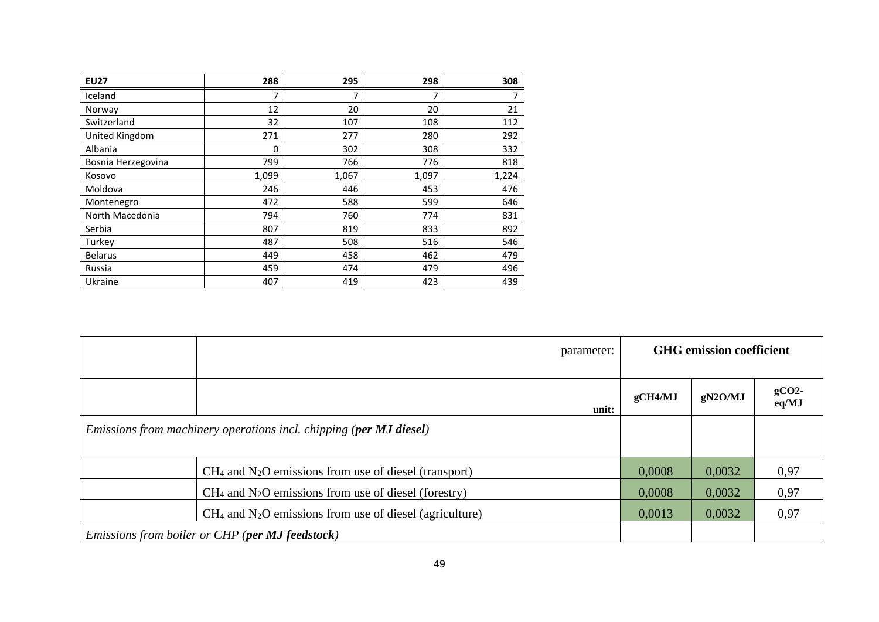| <b>EU27</b>        | 288   | 295   | 298   | 308   |
|--------------------|-------|-------|-------|-------|
| Iceland            | 7     | 7     | 7     | 7     |
| Norway             | 12    | 20    | 20    | 21    |
| Switzerland        | 32    | 107   | 108   | 112   |
| United Kingdom     | 271   | 277   | 280   | 292   |
| Albania            | 0     | 302   | 308   | 332   |
| Bosnia Herzegovina | 799   | 766   | 776   | 818   |
| Kosovo             | 1,099 | 1,067 | 1,097 | 1,224 |
| Moldova            | 246   | 446   | 453   | 476   |
| Montenegro         | 472   | 588   | 599   | 646   |
| North Macedonia    | 794   | 760   | 774   | 831   |
| Serbia             | 807   | 819   | 833   | 892   |
| Turkey             | 487   | 508   | 516   | 546   |
| <b>Belarus</b>     | 449   | 458   | 462   | 479   |
| Russia             | 459   | 474   | 479   | 496   |
| Ukraine            | 407   | 419   | 423   | 439   |

|                                                                    | parameter:                                                                                                                      |         | <b>GHG</b> emission coefficient |      |  |
|--------------------------------------------------------------------|---------------------------------------------------------------------------------------------------------------------------------|---------|---------------------------------|------|--|
|                                                                    | unit:                                                                                                                           | gCH4/MJ | gCO <sub>2</sub><br>eq/MJ       |      |  |
| Emissions from machinery operations incl. chipping (per MJ diesel) |                                                                                                                                 |         |                                 |      |  |
|                                                                    | $CH4$ and N <sub>2</sub> O emissions from use of diesel (transport)                                                             | 0,0008  | 0,0032                          | 0,97 |  |
|                                                                    | 0,0008                                                                                                                          | 0,0032  | 0,97                            |      |  |
|                                                                    | 0,0013                                                                                                                          | 0,0032  | 0,97                            |      |  |
|                                                                    | $CH4$ and N <sub>2</sub> O emissions from use of diesel (agriculture)<br><i>Emissions from boiler or CHP (per MJ feedstock)</i> |         |                                 |      |  |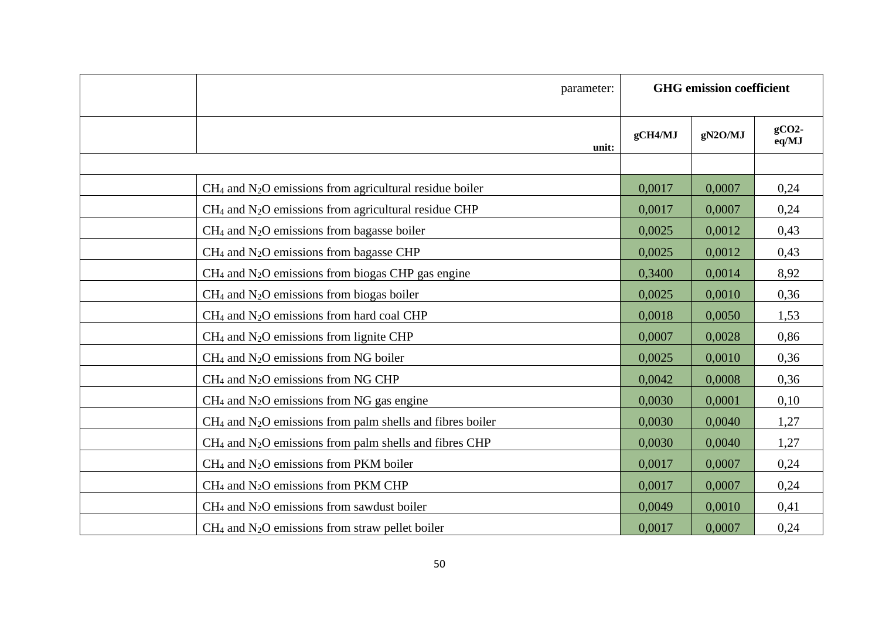| parameter:                                                              |         | <b>GHG</b> emission coefficient |                   |
|-------------------------------------------------------------------------|---------|---------------------------------|-------------------|
| unit:                                                                   | gCH4/MJ | gN2O/MJ                         | $gCO2$ -<br>eq/MJ |
|                                                                         |         |                                 |                   |
| $CH4$ and N <sub>2</sub> O emissions from agricultural residue boiler   | 0,0017  | 0,0007                          | 0,24              |
| $CH4$ and N <sub>2</sub> O emissions from agricultural residue CHP      | 0,0017  | 0,0007                          | 0,24              |
| $CH4$ and N <sub>2</sub> O emissions from bagasse boiler                | 0,0025  | 0,0012                          | 0,43              |
| $CH4$ and N <sub>2</sub> O emissions from bagasse CHP                   | 0,0025  | 0,0012                          | 0,43              |
| $CH4$ and N <sub>2</sub> O emissions from biogas CHP gas engine         | 0,3400  | 0,0014                          | 8,92              |
| $CH4$ and N <sub>2</sub> O emissions from biogas boiler                 | 0,0025  | 0,0010                          | 0,36              |
| $CH4$ and N <sub>2</sub> O emissions from hard coal CHP                 | 0,0018  | 0,0050                          | 1,53              |
| $CH4$ and N <sub>2</sub> O emissions from lignite CHP                   | 0,0007  | 0,0028                          | 0,86              |
| $CH4$ and N <sub>2</sub> O emissions from NG boiler                     | 0,0025  | 0,0010                          | 0,36              |
| $CH4$ and N <sub>2</sub> O emissions from NG CHP                        | 0,0042  | 0,0008                          | 0,36              |
| $CH4$ and N <sub>2</sub> O emissions from NG gas engine                 | 0,0030  | 0,0001                          | 0,10              |
| $CH4$ and N <sub>2</sub> O emissions from palm shells and fibres boiler | 0,0030  | 0,0040                          | 1,27              |
| $CH4$ and N <sub>2</sub> O emissions from palm shells and fibres CHP    | 0,0030  | 0,0040                          | 1,27              |
| $CH4$ and N <sub>2</sub> O emissions from PKM boiler                    | 0,0017  | 0,0007                          | 0,24              |
| $CH4$ and N <sub>2</sub> O emissions from PKM CHP                       | 0,0017  | 0,0007                          | 0,24              |
| $CH4$ and N <sub>2</sub> O emissions from sawdust boiler                | 0,0049  | 0,0010                          | 0,41              |
| $CH4$ and N <sub>2</sub> O emissions from straw pellet boiler           | 0,0017  | 0,0007                          | 0,24              |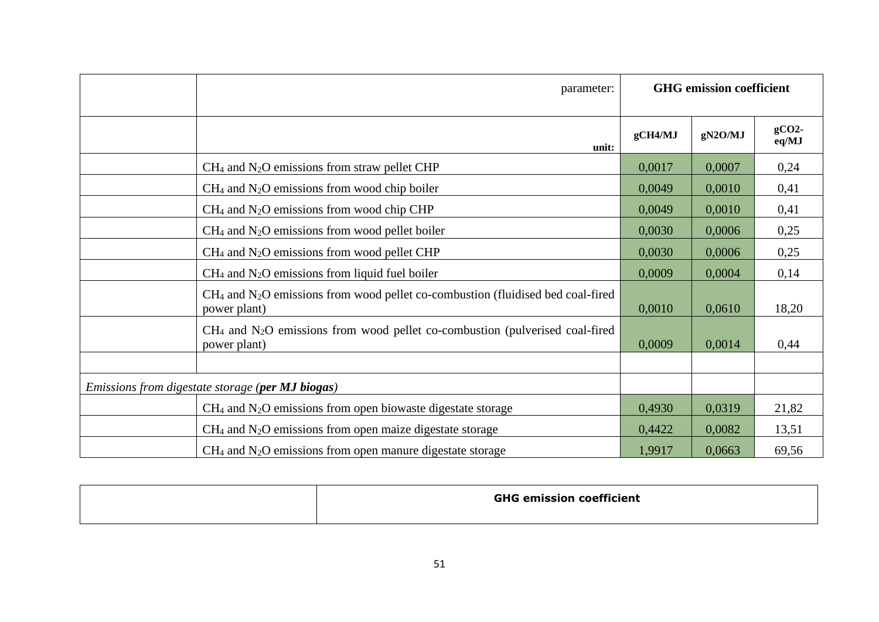| parameter:                                                                                                    | <b>GHG</b> emission coefficient |         |                  |  |
|---------------------------------------------------------------------------------------------------------------|---------------------------------|---------|------------------|--|
| unit:                                                                                                         | gCH4/MJ                         | gN2O/MJ | $gCO2-$<br>eq/MJ |  |
| $CH4$ and N <sub>2</sub> O emissions from straw pellet CHP                                                    | 0,0017                          | 0,0007  | 0,24             |  |
| $CH4$ and N <sub>2</sub> O emissions from wood chip boiler                                                    | 0,0049                          | 0,0010  | 0,41             |  |
| $CH4$ and N <sub>2</sub> O emissions from wood chip CHP                                                       | 0,0049                          | 0,0010  | 0,41             |  |
| $CH4$ and N <sub>2</sub> O emissions from wood pellet boiler                                                  | 0,0030                          | 0,0006  | 0,25             |  |
| $CH4$ and N <sub>2</sub> O emissions from wood pellet CHP                                                     | 0,0030                          | 0,0006  | 0,25             |  |
| $CH4$ and N <sub>2</sub> O emissions from liquid fuel boiler                                                  | 0,0009                          | 0,0004  | 0,14             |  |
| $CH4$ and N <sub>2</sub> O emissions from wood pellet co-combustion (fluidised bed coal-fired<br>power plant) | 0,0010                          | 0,0610  | 18,20            |  |
| $CH4$ and N <sub>2</sub> O emissions from wood pellet co-combustion (pulverised coal-fired<br>power plant)    | 0,0009                          | 0,0014  | 0,44             |  |
|                                                                                                               |                                 |         |                  |  |
| <i>Emissions from digestate storage (per MJ biogas)</i>                                                       |                                 |         |                  |  |
| $CH4$ and N <sub>2</sub> O emissions from open biowaste digestate storage                                     | 0,4930                          | 0,0319  | 21,82            |  |
| $CH4$ and N <sub>2</sub> O emissions from open maize digestate storage                                        | 0,4422                          | 0,0082  | 13,51            |  |
| $CH4$ and N <sub>2</sub> O emissions from open manure digestate storage                                       | 1,9917                          | 0,0663  | 69,56            |  |

| <b>GHG emission coefficient</b> |
|---------------------------------|
|                                 |